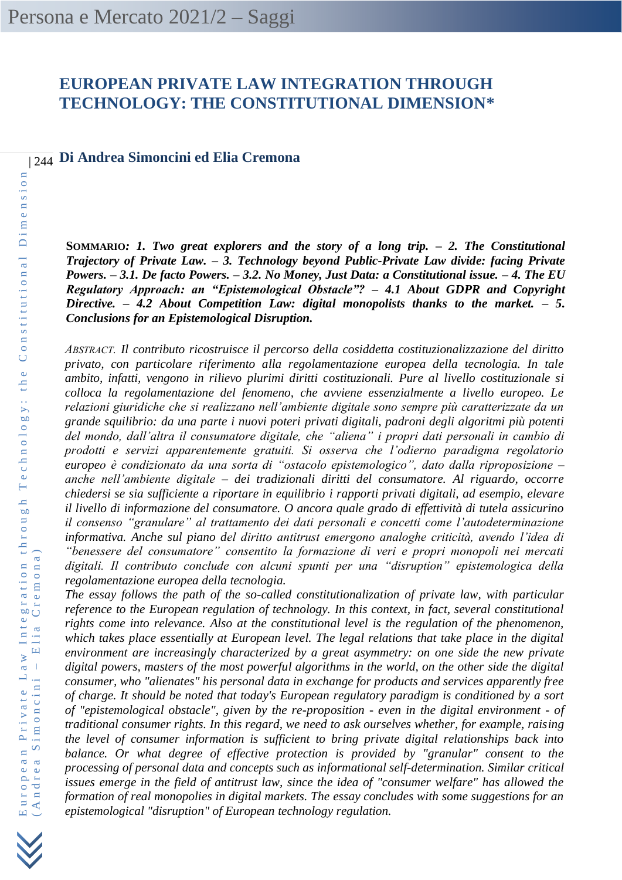# **EUROPEAN PRIVATE LAW INTEGRATION THROUGH TECHNOLOGY: THE CONSTITUTIONAL DIMENSION\***

| 244 **Di Andrea Simoncini ed Elia Cremona**

**SOMMARIO***: 1. Two great explorers and the story of a long trip. – 2. The Constitutional Trajectory of Private Law. – 3. Technology beyond Public-Private Law divide: facing Private Powers. – 3.1. De facto Powers. – 3.2. No Money, Just Data: a Constitutional issue. – 4. The EU Regulatory Approach: an "Epistemological Obstacle"? – 4.1 About GDPR and Copyright Directive. – 4.2 About Competition Law: digital monopolists thanks to the market. – 5. Conclusions for an Epistemological Disruption.*

*ABSTRACT. Il contributo ricostruisce il percorso della cosiddetta costituzionalizzazione del diritto privato, con particolare riferimento alla regolamentazione europea della tecnologia. In tale ambito, infatti, vengono in rilievo plurimi diritti costituzionali. Pure al livello costituzionale si colloca la regolamentazione del fenomeno, che avviene essenzialmente a livello europeo. Le relazioni giuridiche che si realizzano nell'ambiente digitale sono sempre più caratterizzate da un grande squilibrio: da una parte i nuovi poteri privati digitali, padroni degli algoritmi più potenti del mondo, dall'altra il consumatore digitale, che "aliena" i propri dati personali in cambio di prodotti e servizi apparentemente gratuiti. Si osserva che l'odierno paradigma regolatorio europeo è condizionato da una sorta di "ostacolo epistemologico", dato dalla riproposizione – anche nell'ambiente digitale – dei tradizionali diritti del consumatore. Al riguardo, occorre chiedersi se sia sufficiente a riportare in equilibrio i rapporti privati digitali, ad esempio, elevare il livello di informazione del consumatore. O ancora quale grado di effettività di tutela assicurino il consenso "granulare" al trattamento dei dati personali e concetti come l'autodeterminazione informativa. Anche sul piano del diritto antitrust emergono analoghe criticità, avendo l'idea di "benessere del consumatore" consentito la formazione di veri e propri monopoli nei mercati digitali. Il contributo conclude con alcuni spunti per una "disruption" epistemologica della regolamentazione europea della tecnologia.*

*The essay follows the path of the so-called constitutionalization of private law, with particular reference to the European regulation of technology. In this context, in fact, several constitutional rights come into relevance. Also at the constitutional level is the regulation of the phenomenon, which takes place essentially at European level. The legal relations that take place in the digital environment are increasingly characterized by a great asymmetry: on one side the new private digital powers, masters of the most powerful algorithms in the world, on the other side the digital consumer, who "alienates" his personal data in exchange for products and services apparently free of charge. It should be noted that today's European regulatory paradigm is conditioned by a sort of "epistemological obstacle", given by the re-proposition - even in the digital environment - of traditional consumer rights. In this regard, we need to ask ourselves whether, for example, raising the level of consumer information is sufficient to bring private digital relationships back into balance. Or what degree of effective protection is provided by "granular" consent to the processing of personal data and concepts such as informational self-determination. Similar critical issues emerge in the field of antitrust law, since the idea of "consumer welfare" has allowed the formation of real monopolies in digital markets. The essay concludes with some suggestions for an epistemological "disruption" of European technology regulation.*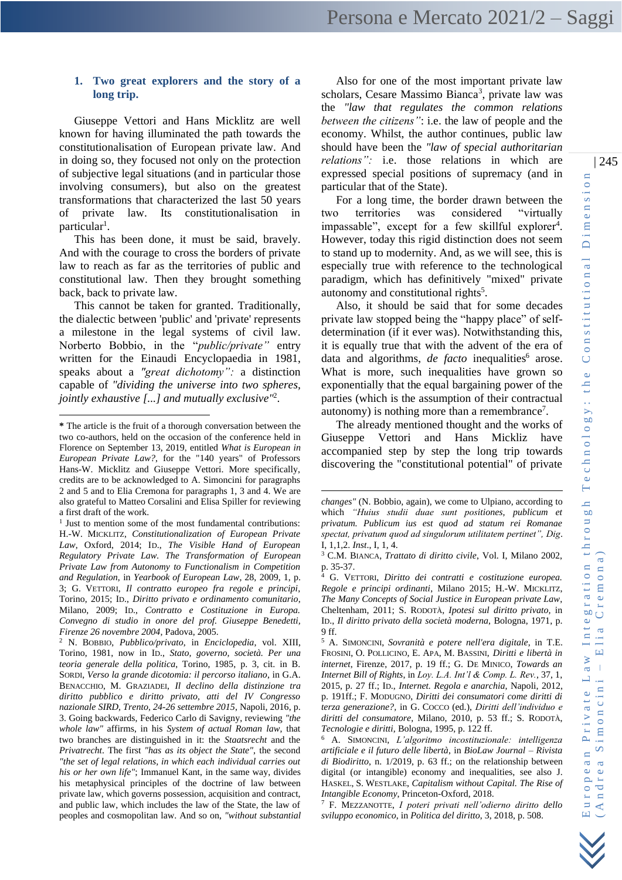# **1. Two great explorers and the story of a long trip.**

Giuseppe Vettori and Hans Micklitz are well known for having illuminated the path towards the constitutionalisation of European private law. And in doing so, they focused not only on the protection of subjective legal situations (and in particular those involving consumers), but also on the greatest transformations that characterized the last 50 years of private law. Its constitutionalisation in particular<sup>1</sup>.

This has been done, it must be said, bravely. And with the courage to cross the borders of private law to reach as far as the territories of public and constitutional law. Then they brought something back, back to private law.

This cannot be taken for granted. Traditionally, the dialectic between 'public' and 'private' represents a milestone in the legal systems of civil law. Norberto Bobbio, in the "*public/private"* entry written for the Einaudi Encyclopaedia in 1981, speaks about a *"great dichotomy":* a distinction capable of *"dividing the universe into two spheres, jointly exhaustive [...] and mutually exclusive"*<sup>2</sup> .

Also for one of the most important private law scholars, Cesare Massimo Bianca<sup>3</sup>, private law was the *"law that regulates the common relations between the citizens"*: i.e. the law of people and the economy. Whilst, the author continues, public law should have been the *"law of special authoritarian relations":* i.e. those relations in which are expressed special positions of supremacy (and in particular that of the State).

For a long time, the border drawn between the two territories was considered "virtually impassable", except for a few skillful explorer<sup>4</sup>. However, today this rigid distinction does not seem to stand up to modernity. And, as we will see, this is especially true with reference to the technological paradigm, which has definitively "mixed" private autonomy and constitutional rights<sup>5</sup>.

Also, it should be said that for some decades private law stopped being the "happy place" of selfdetermination (if it ever was). Notwithstanding this, it is equally true that with the advent of the era of data and algorithms, *de facto* inequalities<sup>6</sup> arose. What is more, such inequalities have grown so exponentially that the equal bargaining power of the parties (which is the assumption of their contractual autonomy) is nothing more than a remembrance<sup>7</sup>.

The already mentioned thought and the works of Giuseppe Vettori and Hans Mickliz have accompanied step by step the long trip towards discovering the "constitutional potential" of private

**<sup>\*</sup>** The article is the fruit of a thorough conversation between the two co-authors, held on the occasion of the conference held in Florence on September 13, 2019, entitled *What is European in European Private Law?*, for the "140 years" of Professors Hans-W. Micklitz and Giuseppe Vettori. More specifically, credits are to be acknowledged to A. Simoncini for paragraphs 2 and 5 and to Elia Cremona for paragraphs 1, 3 and 4. We are also grateful to Matteo Corsalini and Elisa Spiller for reviewing a first draft of the work.

<sup>&</sup>lt;sup>1</sup> Just to mention some of the most fundamental contributions: H.-W. MICKLITZ, *Constitutionalization of European Private Law*, Oxford, 2014; ID., *The Visible Hand of European Regulatory Private Law. The Transformation of European Private Law from Autonomy to Functionalism in Competition and Regulation*, in *Yearbook of European Law*, 28, 2009, 1, p. 3; G. VETTORI, *Il contratto europeo fra regole e principi*, Torino, 2015; ID., *Diritto privato e ordinamento comunitario*, Milano, 2009; ID., *Contratto e Costituzione in Europa. Convegno di studio in onore del prof. Giuseppe Benedetti, Firenze 26 novembre 2004,* Padova, 2005.

<sup>2</sup> N. BOBBIO, *Pubblico/privato*, in *Enciclopedia*, vol. XIII, Torino, 1981, now in ID., *Stato, governo, società. Per una teoria generale della politica*, Torino, 1985, p. 3, cit. in B. SORDI, *Verso la grande dicotomia: il percorso italiano*, in G.A. BENACCHIO, M. GRAZIADEI, *Il declino della distinzione tra diritto pubblico e diritto privato, atti del IV Congresso nazionale SIRD, Trento, 24-26 settembre 2015*, Napoli, 2016, p. 3. Going backwards, Federico Carlo di Savigny, reviewing *"the whole law"* affirms, in his *System of actual Roman law*, that two branches are distinguished in it: the *Staatsrecht* and the *Privatrecht*. The first *"has as its object the State"*, the second *"the set of legal relations, in which each individual carries out his or her own life"*; Immanuel Kant, in the same way, divides his metaphysical principles of the doctrine of law between private law, which governs possession, acquisition and contract, and public law, which includes the law of the State, the law of peoples and cosmopolitan law. And so on, *"without substantial* 

*changes"* (N. Bobbio, again), we come to Ulpiano, according to which *"Huius studii duae sunt positiones, publicum et privatum. Publicum ius est quod ad statum rei Romanae spectat, privatum quod ad singulorum utilitatem pertinet", Dig*. I, 1,1,2. *Inst*., I, 1, 4.

<sup>3</sup> C.M. BIANCA, *Trattato di diritto civile*, Vol. I, Milano 2002, p. 35-37.

<sup>4</sup> G. VETTORI, *Diritto dei contratti e costituzione europea. Regole e principi ordinanti*, Milano 2015; H.-W. MICKLITZ, *The Many Concepts of Social Justice in European private Law*, Cheltenham, 2011; S. RODOTÀ, *Ipotesi sul diritto privato,* in ID., *Il diritto privato della società moderna*, Bologna, 1971, p. 9 ff.

<sup>5</sup> A. SIMONCINI, *Sovranità e potere nell'era digitale*, in T.E. FROSINI, O. POLLICINO, E. APA, M. BASSINI, *Diritti e libertà in internet*, Firenze, 2017, p. 19 ff.; G. DE MINICO, *Towards an Internet Bill of Rights*, in *Loy. L.A. Int'l & Comp. L. Rev.*, 37, 1, 2015, p. 27 ff.; ID., *Internet. Regola e anarchia*, Napoli, 2012, p. 191ff.; F. MODUGNO, *Diritti dei consumatori come diritti di terza generazione?,* in G. COCCO (ed.), *Diritti dell'individuo e diritti del consumatore*, Milano, 2010, p. 53 ff.; S. RODOTÀ, *Tecnologie e diritti*, Bologna, 1995, p. 122 ff.

<sup>6</sup> A. SIMONCINI, *L'algoritmo incostituzionale: intelligenza artificiale e il futuro delle libertà*, in *BioLaw Journal – Rivista di Biodiritto*, n. 1/2019, p. 63 ff.; on the relationship between digital (or intangible) economy and inequalities, see also J. HASKEL, S. WESTLAKE, *Capitalism without Capital. The Rise of Intangible Economy*, Princeton-Oxford, 2018.

<sup>7</sup> F. MEZZANOTTE, *I poteri privati nell'odierno diritto dello sviluppo economico*, in *Politica del diritto*, 3, 2018, p. 508.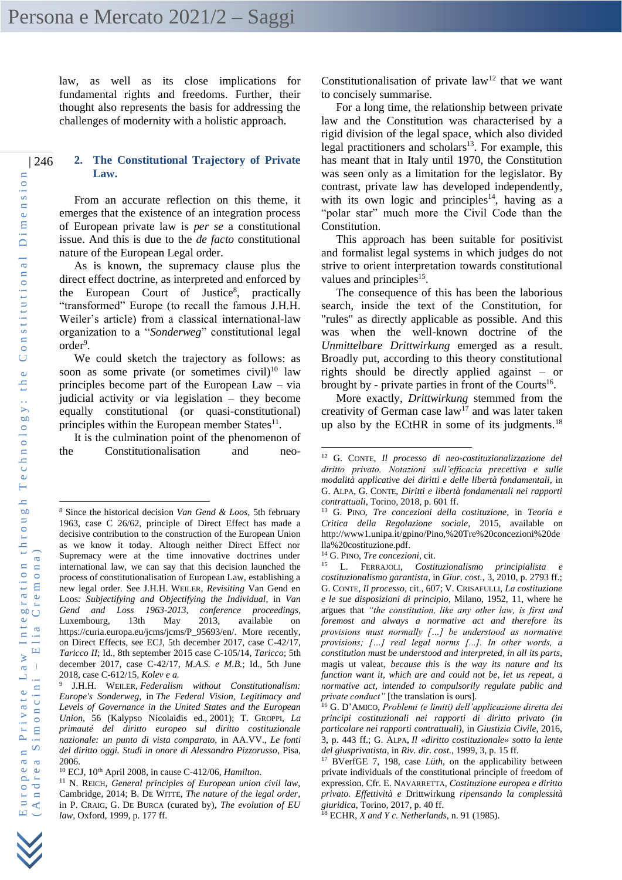law, as well as its close implications for fundamental rights and freedoms. Further, their thought also represents the basis for addressing the challenges of modernity with a holistic approach.

#### | 246 **2. The Constitutional Trajectory of Private Law.**

From an accurate reflection on this theme, it emerges that the existence of an integration process of European private law is *per se* a constitutional issue. And this is due to the *de facto* constitutional nature of the European Legal order.

As is known, the supremacy clause plus the direct effect doctrine, as interpreted and enforced by the European Court of Justice<sup>8</sup>, practically "transformed" Europe (to recall the famous J.H.H. Weiler's article) from a classical international-law organization to a "*Sonderweg*" constitutional legal order<sup>9</sup>.

We could sketch the trajectory as follows: as soon as some private (or sometimes civil) $10 \text{ law}$ principles become part of the European Law – via judicial activity or via legislation – they become equally constitutional (or quasi-constitutional) principles within the European member States<sup>11</sup>.

It is the culmination point of the phenomenon of the Constitutionalisation and neoConstitutionalisation of private  $law<sup>12</sup>$  that we want to concisely summarise.

For a long time, the relationship between private law and the Constitution was characterised by a rigid division of the legal space, which also divided legal practitioners and scholars $13$ . For example, this has meant that in Italy until 1970, the Constitution was seen only as a limitation for the legislator. By contrast, private law has developed independently, with its own logic and principles<sup>14</sup>, having as a "polar star" much more the Civil Code than the Constitution.

This approach has been suitable for positivist and formalist legal systems in which judges do not strive to orient interpretation towards constitutional values and principles<sup>15</sup>.

The consequence of this has been the laborious search, inside the text of the Constitution, for "rules" as directly applicable as possible. And this was when the well-known doctrine of the *Unmittelbare Drittwirkung* emerged as a result. Broadly put, according to this theory constitutional rights should be directly applied against – or brought by - private parties in front of the Courts<sup>16</sup>.

More exactly, *Drittwirkung* stemmed from the creativity of German case  $law<sup>17</sup>$  and was later taken up also by the ECtHR in some of its judgments.<sup>18</sup>

<sup>8</sup> Since the historical decision *Van Gend & Loos*, 5th february 1963, case C 26/62, principle of Direct Effect has made a decisive contribution to the construction of the European Union as we know it today. Altough neither Direct Effect nor Supremacy were at the time innovative doctrines under international law, we can say that this decision launched the process of constitutionalisation of European Law, establishing a new legal order*.* See J.H.H. WEILER, *Revisiting* Van Gend en Loos*: Subjectifying and Objectifying the Individual*, in *Van Gend and Loss 1963-2013, conference proceedings*, Luxembourg, 13th May 2013, available on https://curia.europa.eu/jcms/jcms/P\_95693/en/. More recently, on Direct Effects, see ECJ, 5th december 2017, case C-42/17, *Taricco II*; Id., 8th september 2015 case C-105/14, *Taricco*; 5th december 2017, case C-42/17, *M.A.S. e M.B.*; Id., 5th June 2018, case C-612/15, *Kolev e a.*

<sup>9</sup> J.H.H. WEILER, *Federalism without Constitutionalism: Europe's Sonderweg,* in *The Federal Vision, Legitimacy and Levels of Governance in the United States and the European Union*, 56 (Kalypso Nicolaidis ed., 2001); T. GROPPI, *La primauté del diritto europeo sul diritto costituzionale nazionale: un punto di vista comparato,* in AA.VV., *Le fonti del diritto oggi. Studi in onore di Alessandro Pizzorusso*, Pisa, 2006.

<sup>10</sup> ECJ, 10th April 2008, in cause C-412/06, *Hamilton*.

<sup>11</sup> N. REICH, *General principles of European union civil law*, Cambridge, 2014; B. DE WITTE, *The nature of the legal order*, in P. CRAIG, G. DE BURCA (curated by), *The evolution of EU law*, Oxford, 1999, p. 177 ff.

<sup>12</sup> G. CONTE, *Il processo di neo-costituzionalizzazione del diritto privato. Notazioni sull'efficacia precettiva e sulle modalità applicative dei diritti e delle libertà fondamentali*, in G. ALPA, G. CONTE, *Diritti e libertà fondamentali nei rapporti contrattuali*, Torino, 2018, p. 601 ff.

<sup>13</sup> G. PINO, *Tre concezioni della costituzione*, in *Teoria e Critica della Regolazione sociale*, 2015, available on [http://www1.unipa.it/gpino/Pino,%20Tre%20concezioni%20de](http://www1.unipa.it/gpino/Pino,%2520Tre%2520concezioni%2520della%2520costituzione.pdf) [lla%20costituzione.pdf.](http://www1.unipa.it/gpino/Pino,%2520Tre%2520concezioni%2520della%2520costituzione.pdf)

<sup>&</sup>lt;sup>14</sup> G. PINO, *Tre concezioni*, cit.

<sup>15</sup> L. FERRAJOLI, *Costituzionalismo principialista e costituzionalismo garantista*, in *Giur. cost.*, 3, 2010, p. 2793 ff.; G. CONTE, *Il processo*, cit., 607; V. CRISAFULLI, *La costituzione e le sue disposizioni di principio*, Milano, 1952, 11, where he argues that *"the constitution, like any other law, is first and foremost and always a normative act and therefore its provisions must normally […] be understood as normative provisions; […] real legal norms [...]. In other words, a constitution must be understood and interpreted, in all its parts,*  magis ut valeat*, because this is the way its nature and its function want it, which are and could not be, let us repeat, a normative act, intended to compulsorily regulate public and private conduct"* [the translation is ours].

<sup>16</sup> G. D'AMICO, *Problemi (e limiti) dell'applicazione diretta dei principi costituzionali nei rapporti di diritto privato (in particolare nei rapporti contrattuali)*, in *Giustizia Civile*, 2016, 3, p. 443 ff.; G. ALPA, *Il «diritto costituzionale» sotto la lente del giusprivatista,* in *Riv. dir. cost.*, 1999, 3, p. 15 ff.

<sup>17</sup> BVerfGE 7, 198, case *Lüth*, on the applicability between private individuals of the constitutional principle of freedom of expression. Cfr. E. NAVARRETTA, *Costituzione europea e diritto privato. Effettività e* Drittwirkung *ripensando la complessità giuridica*, Torino, 2017, p. 40 ff.

<sup>18</sup> ECHR, *X and Y c. Netherlands*, n. 91 (1985).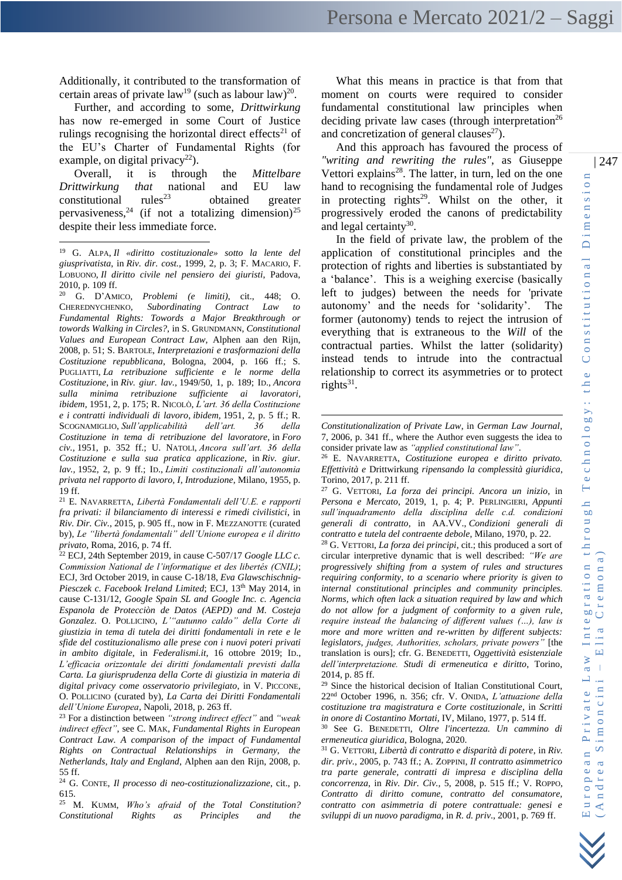Additionally, it contributed to the transformation of certain areas of private  $law<sup>19</sup>$  (such as labour law)<sup>20</sup>.

Further, and according to some, *Drittwirkung* has now re-emerged in some Court of Justice rulings recognising the horizontal direct effects<sup>21</sup> of the EU's Charter of Fundamental Rights (for example, on digital privacy<sup>22</sup>).

Overall, it is through the *Mittelbare Drittwirkung that* national and EU law constitutional rules<sup>23</sup> obtained greater constitutional obtained greater pervasiveness, <sup>24</sup> (if not a totalizing dimension)<sup>25</sup> despite their less immediate force.

<sup>20</sup> G. D'AMICO*, Problemi (e limiti)*, cit., 448; O. CHEREDNYCHENKO, *Subordinating Contract Law to Fundamental Rights: Towords a Major Breakthrough or towords Walking in Circles?*, in S. GRUNDMANN, *Constitutional Values and European Contract Law*, Alphen aan den Rijn, 2008, p. 51; S. BARTOLE, *Interpretazioni e trasformazioni della Costituzione repubblicana*, Bologna, 2004, p. 166 ff.; S. PUGLIATTI, *La retribuzione sufficiente e le norme della Costituzione,* in *Riv. giur. lav.,* 1949/50, 1, p. 189; ID., *Ancora sulla minima retribuzione sufficiente ai lavoratori, ibidem,* 1951, 2, p. 175; R. NICOLÒ, *L'art. 36 della Costituzione e i contratti individuali di lavoro*, *ibidem,* 1951, 2, p. 5 ff.; R. SCOGNAMIGLIO, *Sull'applicabilità dell'art. 36 della Costituzione in tema di retribuzione del lavoratore,* in *Foro civ.,* 1951, p. 352 ff.; U. NATOLI, *Ancora sull'art. 36 della Costituzione e sulla sua pratica applicazione*, in *Riv. giur. lav.,* 1952, 2, p. 9 ff.; ID., *Limiti costituzionali all'autonomia privata nel rapporto di lavoro, I, Introduzione*, Milano, 1955, p. 19 ff.

<sup>21</sup> E. NAVARRETTA, *Libertà Fondamentali dell'U.E. e rapporti fra privati: il bilanciamento di interessi e rimedi civilistici*, in *Riv. Dir. Civ.*, 2015, p. 905 ff., now in F. MEZZANOTTE (curated by), *Le "libertà fondamentali" dell'Unione europea e il diritto privato*, Roma, 2016, p. 74 ff.

<sup>22</sup> ECJ, 24th September 2019, in cause C-507/17 *Google LLC c. Commission National de l'informatique et des libertés (CNIL)*; ECJ, 3rd October 2019, in cause C-18/18, *Eva Glawschischnig-*Piesczek c. Facebook Ireland Limited; ECJ, 13<sup>th</sup> May 2014, in cause C-131/12, *Google Spain SL and Google Inc. c. Agencia Espanola de Protecciòn de Datos (AEPD) and M. Costeja Gonzalez*. O. POLLICINO, *L'"autunno caldo" della Corte di giustizia in tema di tutela dei diritti fondamentali in rete e le sfide del costituzionalismo alle prese con i nuovi poteri privati in ambito digitale*, in *Federalismi.it*, 16 ottobre 2019; ID., *L'efficacia orizzontale dei diritti fondamentali previsti dalla Carta. La giurisprudenza della Corte di giustizia in materia di digital privacy come osservatorio privilegiato*, in V. PICCONE, O. POLLICINO (curated by), *La Carta dei Diritti Fondamentali dell'Unione Europea*, Napoli, 2018, p. 263 ff.

<sup>23</sup> For a distinction between *"strong indirect effect"* and *"weak indirect effect"*, see C. MAK, *Fundamental Rights in European Contract Law. A comparison of the impact of Fundamental Rights on Contractual Relationships in Germany, the Netherlands, Italy and England*, Alphen aan den Rijn, 2008, p. 55 ff.

<sup>24</sup> G. CONTE, *Il processo di neo-costituzionalizzazione*, cit., p. 615.

<sup>25</sup> M. KUMM, *Who's afraid of the Total Constitution? Constitutional Rights as Principles and the* 

What this means in practice is that from that moment on courts were required to consider fundamental constitutional law principles when deciding private law cases (through interpretation<sup>26</sup> and concretization of general clauses $^{27}$ ).

And this approach has favoured the process of *"writing and rewriting the rules"*, as Giuseppe Vettori explains $28$ . The latter, in turn, led on the one hand to recognising the fundamental role of Judges in protecting rights<sup>29</sup>. Whilst on the other, it progressively eroded the canons of predictability and legal certainty $30$ .

In the field of private law, the problem of the application of constitutional principles and the protection of rights and liberties is substantiated by a 'balance'. This is a weighing exercise (basically left to judges) between the needs for 'private autonomy' and the needs for 'solidarity'. The former (autonomy) tends to reject the intrusion of everything that is extraneous to the *Will* of the contractual parties. Whilst the latter (solidarity) instead tends to intrude into the contractual relationship to correct its asymmetries or to protect rights $31$ .

<sup>26</sup> E. NAVARRETTA, *Costituzione europea e diritto privato. Effettività e* Drittwirkung *ripensando la complessità giuridica*, Torino, 2017, p. 211 ff.

<sup>27</sup> G. VETTORI, *La forza dei principi. Ancora un inizio*, in *Persona e Mercato*, 2019, 1, p. 4; P. PERLINGIERI, *Appunti sull'inquadramento della disciplina delle c.d. condizioni generali di contratto*, in AA.VV., *Condizioni generali di contratto e tutela del contraente debole*, Milano, 1970, p. 22.

<sup>28</sup> G. VETTORI, *La forza dei principi*, cit.; this produced a sort of circular interpretive dynamic that is well described: *"We are progressively shifting from a system of rules and structures requiring conformity, to a scenario where priority is given to internal constitutional principles and community principles. Norms, which often lack a situation required by law and which do not allow for a judgment of conformity to a given rule, require instead the balancing of different values (…), law is more and more written and re-written by different subjects: legislators, judges, Authorities, scholars, private powers"* [the translation is ours]; cfr. G. BENEDETTI, *Oggettività esistenziale dell'interpretazione. Studi di ermeneutica e diritto*, Torino, 2014, p. 85 ff.

<sup>29</sup> Since the historical decision of Italian Constitutional Court, 22nd October 1996, n. 356; cfr. V. ONIDA, *L'attuazione della costituzione tra magistratura e Corte costituzionale*, in *Scritti in onore di Costantino Mortati*, IV, Milano, 1977, p. 514 ff.

<sup>30</sup> See G. BENEDETTI, *Oltre l'incertezza. Un cammino di ermeneutica giuridica*, Bologna, 2020.

<sup>31</sup> G. VETTORI, *Libertà di contratto e disparità di potere*, in *Riv. dir. priv.*, 2005, p. 743 ff.; A. ZOPPINI, *Il contratto asimmetrico tra parte generale, contratti di impresa e disciplina della concorrenza*, in *Riv. Dir. Civ.,* 5, 2008, p. 515 ff.; V. ROPPO, *Contratto di diritto comune, contratto del consumatore, contratto con asimmetria di potere contrattuale: genesi e sviluppi di un nuovo paradigma*, in *R. d. priv*., 2001, p. 769 ff.

| 247

e c h n o l o g y : t h e C o n s t i t u t i o n a l



European Private Law Integration through 7

 $-$  E lia Cremona)

 $11a$  $\Box$  $\bar{1}$  $\alpha$ 

> $\ddot{\phantom{1}}$  $c$  in  $i$  $\Box$  $\circ$  $\Xi$  $\overline{\mathbf{S}}$  ii  $\mathbf{a}$

m o n  $\ddot{\circ}$  $\overline{\mathsf{C}}$ 

( A n d r e a S i m o n c i n i

 $(Andre$ 

European Private L

T

<sup>19</sup> G. ALPA, *Il «diritto costituzionale» sotto la lente del giusprivatista*, in *Riv. dir. cost.*, 1999, 2, p. 3; F. MACARIO, F. LOBUONO, *Il diritto civile nel pensiero dei giuristi*, Padova, 2010, p. 109 ff.

*Constitutionalization of Private Law*, in *German Law Journal*, 7, 2006, p. 341 ff., where the Author even suggests the idea to consider private law as *"applied constitutional law"*.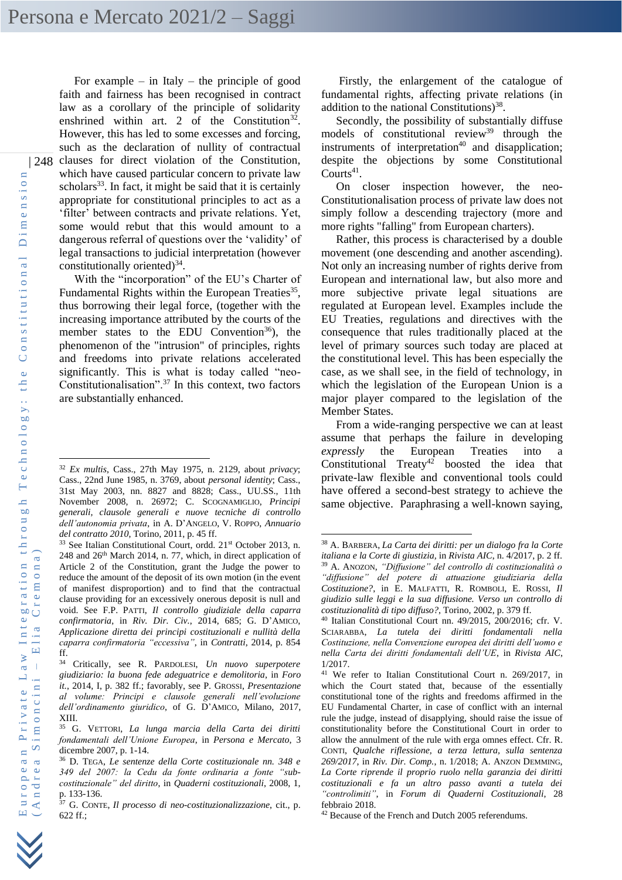| 248 For example – in Italy – the principle of good faith and fairness has been recognised in contract law as a corollary of the principle of solidarity enshrined within art. 2 of the Constitution<sup>32</sup>. However, this has led to some excesses and forcing, such as the declaration of nullity of contractual clauses for direct violation of the Constitution, which have caused particular concern to private law scholars<sup>33</sup>. In fact, it might be said that it is certainly appropriate for constitutional principles to act as a 'filter' between contracts and private relations. Yet, some would rebut that this would amount to a dangerous referral of questions over the 'validity' of legal transactions to judicial interpretation (however constitutionally oriented) $34$ .

> With the "incorporation" of the EU's Charter of Fundamental Rights within the European Treaties<sup>35</sup>, thus borrowing their legal force, (together with the increasing importance attributed by the courts of the member states to the EDU Convention<sup>36</sup>), the phenomenon of the "intrusion" of principles, rights and freedoms into private relations accelerated significantly. This is what is today called "neo-Constitutionalisation".<sup>37</sup> In this context, two factors are substantially enhanced.

Firstly, the enlargement of the catalogue of fundamental rights, affecting private relations (in addition to the national Constitutions)<sup>38</sup>.

Secondly, the possibility of substantially diffuse models of constitutional review<sup>39</sup> through the instruments of interpretation $40$  and disapplication; despite the objections by some Constitutional Courts<sup>41</sup>.

On closer inspection however, the neo-Constitutionalisation process of private law does not simply follow a descending trajectory (more and more rights "falling" from European charters).

Rather, this process is characterised by a double movement (one descending and another ascending). Not only an increasing number of rights derive from European and international law, but also more and more subjective private legal situations are regulated at European level. Examples include the EU Treaties, regulations and directives with the consequence that rules traditionally placed at the level of primary sources such today are placed at the constitutional level. This has been especially the case, as we shall see, in the field of technology, in which the legislation of the European Union is a major player compared to the legislation of the Member States.

From a wide-ranging perspective we can at least assume that perhaps the failure in developing *expressly* the European Treaties into a Constitutional Treaty<sup>42</sup> boosted the idea that private-law flexible and conventional tools could have offered a second-best strategy to achieve the same objective. Paraphrasing a well-known saying,

<sup>32</sup> *Ex multis*, Cass., 27th May 1975, n. 2129, about *privacy*; Cass., 22nd June 1985, n. 3769, about *personal identity*; Cass., 31st May 2003, nn. 8827 and 8828; Cass., UU.SS., 11th November 2008, n. 26972; C. SCOGNAMIGLIO, *Principi generali, clausole generali e nuove tecniche di controllo dell'autonomia privata*, in A. D'ANGELO, V. ROPPO, *Annuario del contratto 2010*, Torino, 2011, p. 45 ff.

<sup>&</sup>lt;sup>33</sup> See Italian Constitutional Court, ordd. 21<sup>st</sup> October 2013, n. 248 and 26th March 2014, n. 77, which, in direct application of Article 2 of the Constitution, grant the Judge the power to reduce the amount of the deposit of its own motion (in the event of manifest disproportion) and to find that the contractual clause providing for an excessively onerous deposit is null and void. See F.P. PATTI, *Il controllo giudiziale della caparra confirmatoria*, in *Riv. Dir. Civ.*, 2014, 685; G. D'AMICO, *Applicazione diretta dei principi costituzionali e nullità della caparra confirmatoria "eccessiva"*, in *Contratti*, 2014, p. 854 ff.

<sup>34</sup> Critically, see R. PARDOLESI, *Un nuovo superpotere giudiziario: la buona fede adeguatrice e demolitoria*, in *Foro it.*, 2014, I, p. 382 ff.; favorably, see P. GROSSI, *Presentazione al volume: Principi e clausole generali nell'evoluzione dell'ordinamento giuridico*, of G. D'AMICO, Milano, 2017, XIII*.*

<sup>35</sup> G. VETTORI, *La lunga marcia della Carta dei diritti fondamentali dell'Unione Europea*, in *Persona e Mercato*, 3 dicembre 2007, p. 1-14.

<sup>36</sup> D. TEGA, *Le sentenze della Corte costituzionale nn. 348 e 349 del 2007: la Cedu da fonte ordinaria a fonte "subcostituzionale" del diritto*, in *Quaderni costituzionali*, 2008, 1, p. 133-136.

<sup>37</sup> G. CONTE, *Il processo di neo-costituzionalizzazione*, cit., p. 622 ff.;

<sup>38</sup> A. BARBERA, *La Carta dei diritti: per un dialogo fra la Corte italiana e la Corte di giustizia,* in *Rivista AIC*, n. 4/2017, p. 2 ff. <sup>39</sup> A. ANOZON, *"Diffusione" del controllo di costituzionalità o "diffusione" del potere di attuazione giudiziaria della Costituzione?*, in E. MALFATTI, R. ROMBOLI, E. ROSSI, *Il giudizio sulle leggi e la sua diffusione. Verso un controllo di costituzionalità di tipo diffuso?*, Torino, 2002, p. 379 ff.

<sup>40</sup> Italian Constitutional Court nn. 49/2015, 200/2016; cfr. V. SCIARABBA, *La tutela dei diritti fondamentali nella Costituzione, nella Convenzione europea dei diritti dell'uomo e nella Carta dei diritti fondamentali dell'UE*, in *Rivista AIC*, 1/2017.

<sup>41</sup> We refer to Italian Constitutional Court n. 269/2017, in which the Court stated that, because of the essentially constitutional tone of the rights and freedoms affirmed in the EU Fundamental Charter, in case of conflict with an internal rule the judge, instead of disapplying, should raise the issue of constitutionality before the Constitutional Court in order to allow the annulment of the rule with erga omnes effect. Cfr. R. CONTI, *Qualche riflessione, a terza lettura, sulla sentenza 269/2017*, in *Riv. Dir. Comp.*, n. 1/2018; A. ANZON DEMMING, *La Corte riprende il proprio ruolo nella garanzia dei diritti costituzionali e fa un altro passo avanti a tutela dei "controlimiti"*, in *Forum di Quaderni Costituzionali*, 28 febbraio 2018.

<sup>42</sup> Because of the French and Dutch 2005 referendums.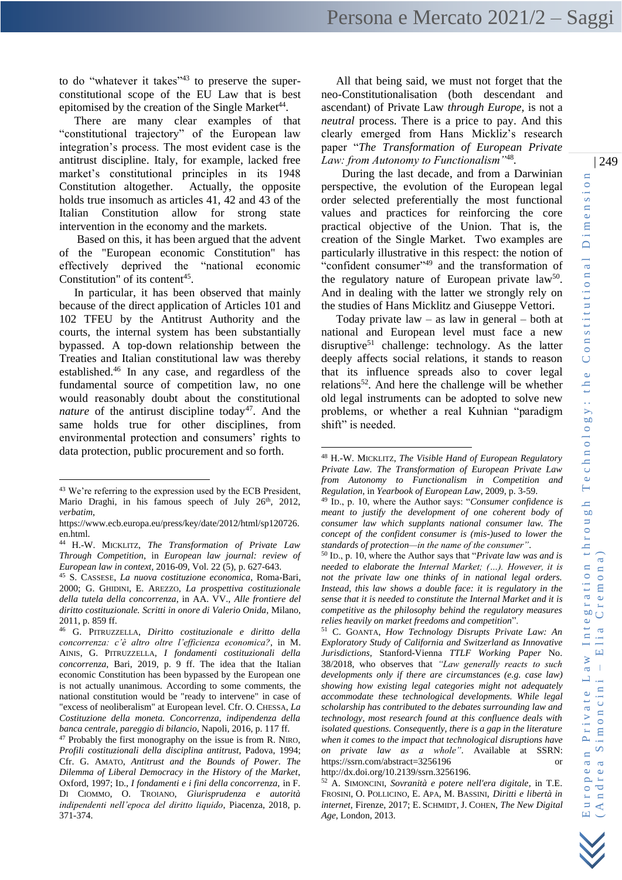to do "whatever it takes" $43$  to preserve the superconstitutional scope of the EU Law that is best epitomised by the creation of the Single Market<sup>44</sup>.

There are many clear examples of that "constitutional trajectory" of the European law integration's process. The most evident case is the antitrust discipline. Italy, for example, lacked free market's constitutional principles in its 1948 Constitution altogether. Actually, the opposite holds true insomuch as articles 41, 42 and 43 of the Italian Constitution allow for strong state intervention in the economy and the markets.

Based on this, it has been argued that the advent of the "European economic Constitution" has effectively deprived the "national economic Constitution" of its content<sup>45</sup>.

In particular, it has been observed that mainly because of the direct application of Articles 101 and 102 TFEU by the Antitrust Authority and the courts, the internal system has been substantially bypassed. A top-down relationship between the Treaties and Italian constitutional law was thereby established.<sup>46</sup> In any case, and regardless of the fundamental source of competition law, no one would reasonably doubt about the constitutional *nature* of the antirust discipline today<sup>47</sup>. And the same holds true for other disciplines, from environmental protection and consumers' rights to data protection, public procurement and so forth.

All that being said, we must not forget that the neo-Constitutionalisation (both descendant and ascendant) of Private Law *through Europe,* is not a *neutral* process. There is a price to pay. And this clearly emerged from Hans Mickliz's research paper "*The Transformation of European Private Law: from Autonomy to Functionalism"*<sup>48</sup> *.*

 During the last decade, and from a Darwinian perspective, the evolution of the European legal order selected preferentially the most functional values and practices for reinforcing the core practical objective of the Union. That is, the creation of the Single Market. Two examples are particularly illustrative in this respect: the notion of "confident consumer"<sup>49</sup> and the transformation of the regulatory nature of European private law<sup>50</sup>. And in dealing with the latter we strongly rely on the studies of Hans Micklitz and Giuseppe Vettori.

Today private  $law - as law$  in general – both at national and European level must face a new disruptive<sup>51</sup> challenge: technology. As the latter deeply affects social relations, it stands to reason that its influence spreads also to cover legal relations<sup>52</sup>. And here the challenge will be whether old legal instruments can be adopted to solve new problems, or whether a real Kuhnian "paradigm shift" is needed.

<sup>50</sup> ID., p. 10, where the Author says that "*Private law was and is needed to elaborate the Internal Market; (…). However, it is not the private law one thinks of in national legal orders. Instead, this law shows a double face: it is regulatory in the sense that it is needed to constitute the Internal Market and it is competitive as the philosophy behind the regulatory measures relies heavily on market freedoms and competition*".

<sup>51</sup> C. GOANTA, *How Technology Disrupts Private Law: An Exploratory Study of California and Switzerland as Innovative Jurisdictions*, Stanford-Vienna *TTLF Working Paper* No. 38/2018, who observes that *"Law generally reacts to such developments only if there are circumstances (e.g. case law) showing how existing legal categories might not adequately accommodate these technological developments. While legal scholarship has contributed to the debates surrounding law and technology, most research found at this confluence deals with isolated questions. Consequently, there is a gap in the literature when it comes to the impact that technological disruptions have on private law as a whole"*. Available at SSRN: https://ssrn.com/abstract=3256196 or http://dx.doi.org/10.2139/ssrn.3256196.

<sup>52</sup> A. SIMONCINI, *Sovranità e potere nell'era digitale*, in T.E. FROSINI, O. POLLICINO, E. APA, M. BASSINI, *Diritti e libertà in internet*, Firenze, 2017; E. SCHMIDT, J. COHEN, *The New Digital Age*, London, 2013.

<sup>&</sup>lt;sup>43</sup> We're referring to the expression used by the ECB President, Mario Draghi, in his famous speech of July 26<sup>th</sup>, 2012, *verbatim*,

[https://www.ecb.europa.eu/press/key/date/2012/html/sp120726.](https://www.ecb.europa.eu/press/key/date/2012/html/sp120726.en.html) [en.html.](https://www.ecb.europa.eu/press/key/date/2012/html/sp120726.en.html)

<sup>44</sup> H.-W. MICKLITZ, *The Transformation of Private Law Through Competition*, in *European law journal: review of European law in context,* 2016-09, Vol. 22 (5), p. 627-643.

<sup>45</sup> S. CASSESE, *La nuova costituzione economica*, Roma-Bari, 2000; G. GHIDINI, E. AREZZO, *La prospettiva costituzionale della tutela della concorrenza*, in AA. VV., *Alle frontiere del diritto costituzionale. Scritti in onore di Valerio Onida*, Milano, 2011, p. 859 ff.

<sup>46</sup> G. PITRUZZELLA, *Diritto costituzionale e diritto della concorrenza: c'è altro oltre l'efficienza economica?*, in M. AINIS, G. PITRUZZELLA, *I fondamenti costituzionali della concorrenza*, Bari, 2019, p. 9 ff. The idea that the Italian economic Constitution has been bypassed by the European one is not actually unanimous. According to some comments, the national constitution would be "ready to intervene" in case of "excess of neoliberalism" at European level. Cfr. O. CHESSA, *La Costituzione della moneta. Concorrenza, indipendenza della banca centrale, pareggio di bilancio*, Napoli, 2016, p. 117 ff.

 $47$  Probably the first monography on the issue is from R. NIRO, *Profili costituzionali della disciplina antitrust*, Padova, 1994; Cfr. G. AMATO, *Antitrust and the Bounds of Power*. *The Dilemma of Liberal Democracy in the History of the Market*, Oxford, 1997; ID., *I fondamenti e i fini della concorrenza,* in F. DI CIOMMO, O. TROIANO, *Giurisprudenza e autorità indipendenti nell'epoca del diritto liquido*, Piacenza, 2018, p. 371-374.

<sup>48</sup> H.-W. MICKLITZ, *The Visible Hand of European Regulatory Private Law. The Transformation of European Private Law from Autonomy to Functionalism in Competition and Regulation*, in *Yearbook of European Law*, 2009, p. 3-59.

<sup>49</sup> ID., p. 10, where the Author says: "*Consumer confidence is meant to justify the development of one coherent body of consumer law which supplants national consumer law. The concept of the confident consumer is (mis-)used to lower the standards of protection—in the name of the consumer"*.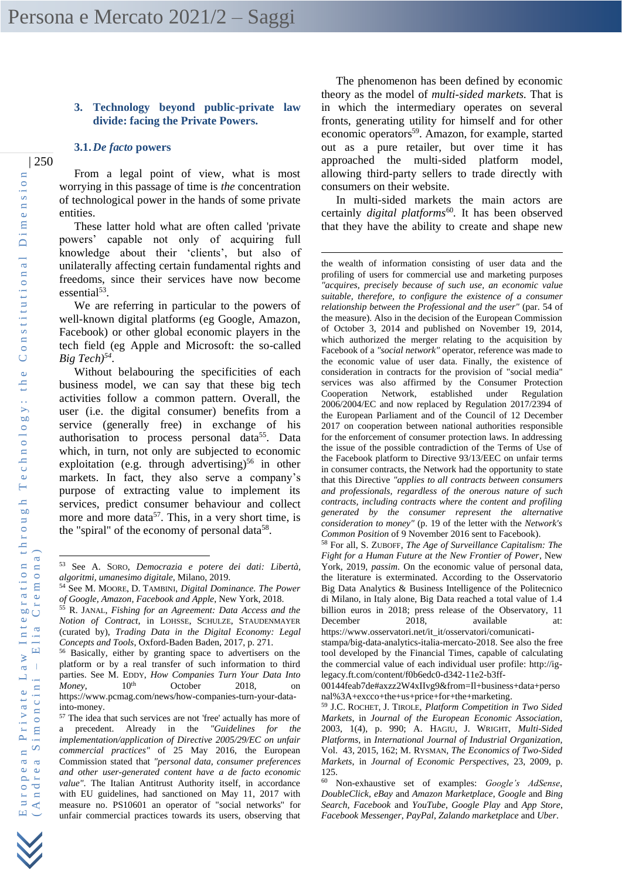# **3. Technology beyond public-private law divide: facing the Private Powers.**

# **3.1.***De facto* **powers**

From a legal point of view, what is most worrying in this passage of time is *the* concentration of technological power in the hands of some private entities.

These latter hold what are often called 'private powers' capable not only of acquiring full knowledge about their 'clients', but also of unilaterally affecting certain fundamental rights and freedoms, since their services have now become essential<sup>53</sup>.

We are referring in particular to the powers of well-known digital platforms (eg Google, Amazon, Facebook) or other global economic players in the tech field (eg Apple and Microsoft: the so-called *Big Tech)<sup>54</sup>* .

Without belabouring the specificities of each business model, we can say that these big tech activities follow a common pattern. Overall, the user (i.e. the digital consumer) benefits from a service (generally free) in exchange of his authorisation to process personal data<sup>55</sup>. Data which, in turn, not only are subjected to economic exploitation (e.g. through advertising)<sup>56</sup> in other markets. In fact, they also serve a company's purpose of extracting value to implement its services, predict consumer behaviour and collect more and more data<sup>57</sup>. This, in a very short time, is the "spiral" of the economy of personal data<sup>58</sup>.

The phenomenon has been defined by economic theory as the model of *multi-sided markets.* That is in which the intermediary operates on several fronts, generating utility for himself and for other economic operators<sup>59</sup>. Amazon, for example, started out as a pure retailer, but over time it has approached the multi-sided platform model, allowing third-party sellers to trade directly with consumers on their website.

In multi-sided markets the main actors are certainly *digital platforms<sup>60</sup>*. It has been observed that they have the ability to create and shape new

<sup>53</sup> See A. SORO, *Democrazia e potere dei dati: Libertà, algoritmi, umanesimo digitale*, Milano, 2019.

<sup>54</sup> See M. MOORE, D. TAMBINI, *Digital Dominance. The Power of Google, Amazon, Facebook and Apple*, New York, 2018.

<sup>55</sup> R. JANAL, *Fishing for an Agreement: Data Access and the Notion of Contract*, in LOHSSE, SCHULZE, STAUDENMAYER (curated by), *Trading Data in the Digital Economy: Legal Concepts and Tools*, Oxford-Baden Baden, 2017, p. 271.

<sup>56</sup> Basically, either by granting space to advertisers on the platform or by a real transfer of such information to third parties. See M. EDDY, *How Companies Turn Your Data Into Money*, 10<sup>th</sup> October 2018, on https://www.pcmag.com/news/how-companies-turn-your-datainto-money.

<sup>57</sup> The idea that such services are not 'free' actually has more of a precedent. Already in the *"Guidelines for the implementation/application of Directive 2005/29/EC on unfair commercial practices"* of 25 May 2016, the European Commission stated that *"personal data, consumer preferences and other user-generated content have a de facto economic value"*. The Italian Antitrust Authority itself, in accordance with EU guidelines, had sanctioned on May 11, 2017 with measure no. PS10601 an operator of "social networks" for unfair commercial practices towards its users, observing that

the wealth of information consisting of user data and the profiling of users for commercial use and marketing purposes *"acquires, precisely because of such use, an economic value suitable, therefore, to configure the existence of a consumer relationship between the Professional and the user"* (par. 54 of the measure). Also in the decision of the European Commission of October 3, 2014 and published on November 19, 2014, which authorized the merger relating to the acquisition by Facebook of a *"social network"* operator, reference was made to the economic value of user data. Finally, the existence of consideration in contracts for the provision of "social media" services was also affirmed by the Consumer Protection Cooperation Network, established under Regulation 2006/2004/EC and now replaced by Regulation 2017/2394 of the European Parliament and of the Council of 12 December 2017 on cooperation between national authorities responsible for the enforcement of consumer protection laws. In addressing the issue of the possible contradiction of the Terms of Use of the Facebook platform to Directive 93/13/EEC on unfair terms in consumer contracts, the Network had the opportunity to state that this Directive *"applies to all contracts between consumers and professionals, regardless of the onerous nature of such contracts, including contracts where the content and profiling generated by the consumer represent the alternative consideration to money"* (p. 19 of the letter with the *Network's Common Position* of 9 November 2016 sent to Facebook).

<sup>58</sup> For all, S. ZUBOFF, *The Age of Surveillance Capitalism: The Fight for a Human Future at the New Frontier of Power*, New York, 2019, *passim*. On the economic value of personal data, the literature is exterminated. According to the Osservatorio Big Data Analytics & Business Intelligence of the Politecnico di Milano, in Italy alone, Big Data reached a total value of 1.4 billion euros in 2018; press release of the Observatory, 11 December 2018, available at: https://www.osservatori.net/it\_it/osservatori/comunicati-

stampa/big-data-analytics-italia-mercato-2018. See also the free tool developed by the Financial Times, capable of calculating the commercial value of each individual user profile: http://ig-

legacy.ft.com/content/f0b6edc0-d342-11e2-b3ff-00144feab7de#axzz2W4xIIvg9&from=Il+business+data+perso nal%3A+excco+the+us+price+for+the+marketing.

<sup>59</sup> J.C. ROCHET, J. TIROLE, *Platform Competition in Two Sided Markets*, in *Journal of the European Economic Association*, 2003, 1(4), p. 990; A. HAGIU, J. WRIGHT, *Multi-Sided Platforms*, in *International Journal of Industrial Organization*, Vol. 43, 2015, 162; M. RYSMAN, *The Economics of Two-Sided Markets*, in *Journal of Economic Perspectives*, 23, 2009, p. 125.

<sup>60</sup> Non-exhaustive set of examples: *Google's AdSense*, *DoubleClick*, *eBay* and *Amazon Marketplace*, *Google* and *Bing Search*, *Facebook* and *YouTube*, *Google Play* and *App Store*, *Facebook Messenger*, *PayPal*, *Zalando marketplace* and *Uber*.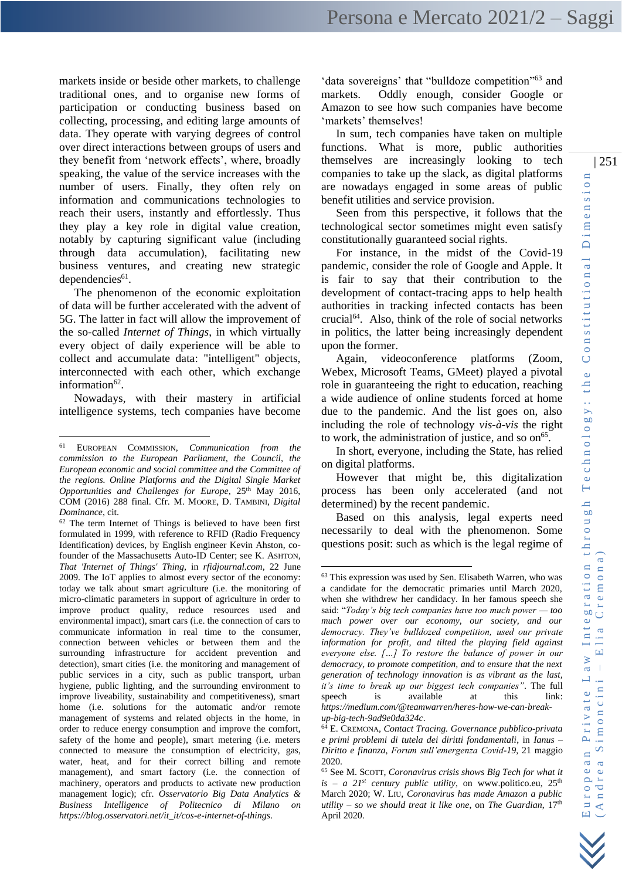markets inside or beside other markets, to challenge traditional ones, and to organise new forms of participation or conducting business based on collecting, processing, and editing large amounts of data. They operate with varying degrees of control over direct interactions between groups of users and they benefit from 'network effects', where, broadly speaking, the value of the service increases with the number of users. Finally, they often rely on information and communications technologies to reach their users, instantly and effortlessly. Thus they play a key role in digital value creation, notably by capturing significant value (including through data accumulation), facilitating new business ventures, and creating new strategic  $dependence<sup>61</sup>$ .

The phenomenon of the economic exploitation of data will be further accelerated with the advent of 5G. The latter in fact will allow the improvement of the so-called *Internet of Things*, in which virtually every object of daily experience will be able to collect and accumulate data: "intelligent" objects, interconnected with each other, which exchange information<sup>62</sup>.

Nowadays, with their mastery in artificial intelligence systems, tech companies have become

'data sovereigns' that "bulldoze competition"<sup>63</sup> and markets. Oddly enough, consider Google or Amazon to see how such companies have become 'markets' themselves!

In sum, tech companies have taken on multiple functions. What is more, public authorities themselves are increasingly looking to tech companies to take up the slack, as digital platforms are nowadays engaged in some areas of public benefit utilities and service provision.

Seen from this perspective, it follows that the technological sector sometimes might even satisfy constitutionally guaranteed social rights.

For instance, in the midst of the Covid-19 pandemic, consider the role of Google and Apple. It is fair to say that their contribution to the development of contact-tracing apps to help health authorities in tracking infected contacts has been crucial<sup> $64$ </sup>. Also, think of the role of social networks in politics, the latter being increasingly dependent upon the former.

Again, videoconference platforms (Zoom, Webex, Microsoft Teams, GMeet) played a pivotal role in guaranteeing the right to education, reaching a wide audience of online students forced at home due to the pandemic. And the list goes on, also including the role of technology *vis-à-vis* the right to work, the administration of justice, and so on<sup>65</sup>.

In short, everyone, including the State, has relied on digital platforms.

However that might be, this digitalization process has been only accelerated (and not determined) by the recent pandemic.

Based on this analysis, legal experts need necessarily to deal with the phenomenon. Some questions posit: such as which is the legal regime of

<sup>61</sup> EUROPEAN COMMISSION, *Communication from the commission to the European Parliament, the Council, the European economic and social committee and the Committee of the regions. Online Platforms and the Digital Single Market Opportunities and Challenges for Europe*, 25<sup>th</sup> May 2016, COM (2016) 288 final. Cfr. M. MOORE, D. TAMBINI, *Digital Dominance*, cit.

<sup>62</sup> The term Internet of Things is believed to have been first formulated in 1999, with reference to RFID (Radio Frequency Identification) devices, by English engineer Kevin Ahston, cofounder of the Massachusetts Auto-ID Center; see K. ASHTON, *That 'Internet of Things' Thing*, in *rfidjournal.com*, 22 June 2009. The IoT applies to almost every sector of the economy: today we talk about smart agriculture (i.e. the monitoring of micro-climatic parameters in support of agriculture in order to improve product quality, reduce resources used and environmental impact), smart cars (i.e. the connection of cars to communicate information in real time to the consumer, connection between vehicles or between them and the surrounding infrastructure for accident prevention and detection), smart cities (i.e. the monitoring and management of public services in a city, such as public transport, urban hygiene, public lighting, and the surrounding environment to improve liveability, sustainability and competitiveness), smart home (i.e. solutions for the automatic and/or remote management of systems and related objects in the home, in order to reduce energy consumption and improve the comfort, safety of the home and people), smart metering (i.e. meters connected to measure the consumption of electricity, gas, water, heat, and for their correct billing and remote management), and smart factory (i.e. the connection of machinery, operators and products to activate new production management logic); cfr. *Osservatorio Big Data Analytics & Business Intelligence of Politecnico di Milano on https://blog.osservatori.net/it\_it/cos-e-internet-of-things*.

<sup>63</sup> This expression was used by Sen. Elisabeth Warren, who was a candidate for the democratic primaries until March 2020, when she withdrew her candidacy. In her famous speech she said: "*Today's big tech companies have too much power — too much power over our economy, our society, and our democracy. They've bulldozed competition, used our private information for profit, and tilted the playing field against everyone else. […] To restore the balance of power in our democracy, to promote competition, and to ensure that the next generation of technology innovation is as vibrant as the last, it's time to break up our biggest tech companies"*. The full speech is available at this link: *[https://medium.com/@teamwarren/heres-how-we-can-break](https://medium.com/@teamwarren/heres-how-we-can-break-up-big-tech-9ad9e0da324c)[up-big-tech-9ad9e0da324c](https://medium.com/@teamwarren/heres-how-we-can-break-up-big-tech-9ad9e0da324c)*.

<sup>64</sup> E. CREMONA*, Contact Tracing. Governance pubblico-privata e primi problemi di tutela dei diritti fondamentali*, in *Ianus – Diritto e finanza*, *Forum sull'emergenza Covid-19*, 21 maggio 2020.

<sup>65</sup> See M. SCOTT, *Coronavirus crisis shows Big Tech for what it*   $is - a$  21<sup>st</sup> century public utility, on [www.politico.eu,](http://www.politico.eu/) 25<sup>th</sup> March 2020; W. LIU, *Coronavirus has made Amazon a public utility – so we should treat it like one*, on *The Guardian*, 17<sup>th</sup> April 2020.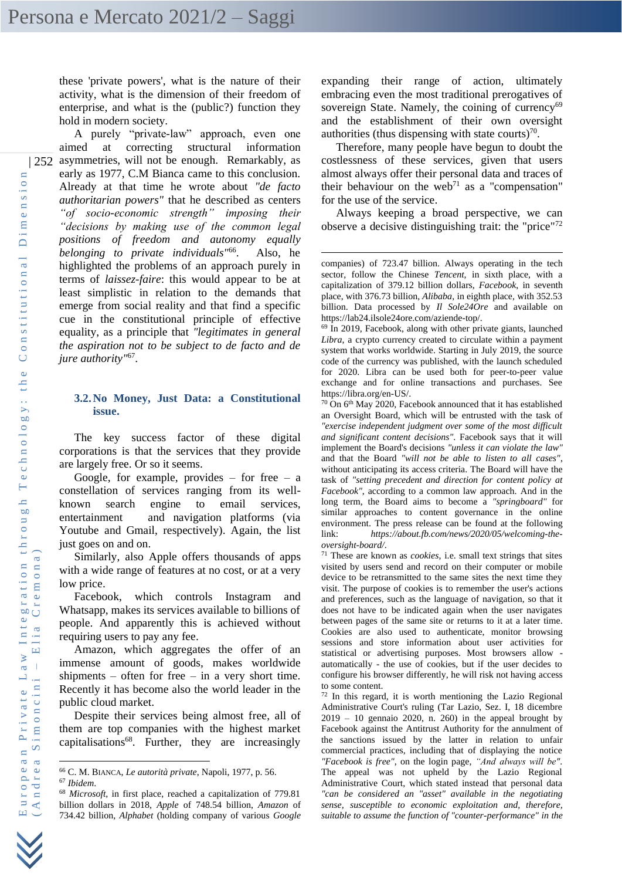these 'private powers', what is the nature of their activity, what is the dimension of their freedom of enterprise, and what is the (public?) function they hold in modern society.

| 252 asymmetries, will not be enough. Remarkably, as A purely "private-law" approach, even one aimed at correcting structural information early as 1977, C.M Bianca came to this conclusion. Already at that time he wrote about *"de facto authoritarian powers"* that he described as centers *"of socio-economic strength" imposing their "decisions by making use of the common legal positions of freedom and autonomy equally belonging to private individuals"*<sup>66</sup>. Also, he highlighted the problems of an approach purely in terms of *laissez-faire*: this would appear to be at least simplistic in relation to the demands that emerge from social reality and that find a specific cue in the constitutional principle of effective equality, as a principle that *"legitimates in general the aspiration not to be subject to de facto and de jure authority"*<sup>67</sup> .

### **3.2.No Money, Just Data: a Constitutional issue.**

The key success factor of these digital corporations is that the services that they provide are largely free. Or so it seems.

Google, for example, provides  $-$  for free  $-$  a constellation of services ranging from its wellknown search engine to email services, entertainment and navigation platforms (via Youtube and Gmail, respectively). Again, the list just goes on and on.

Similarly, also Apple offers thousands of apps with a wide range of features at no cost, or at a very low price.

Facebook, which controls Instagram and Whatsapp, makes its services available to billions of people. And apparently this is achieved without requiring users to pay any fee.

Amazon, which aggregates the offer of an immense amount of goods, makes worldwide shipments – often for free – in a very short time. Recently it has become also the world leader in the public cloud market.

Despite their services being almost free, all of them are top companies with the highest market capitalisations<sup>68</sup>. Further, they are increasingly

expanding their range of action, ultimately embracing even the most traditional prerogatives of sovereign State. Namely, the coining of currency<sup>69</sup> and the establishment of their own oversight authorities (thus dispensing with state courts)<sup>70</sup>.

Therefore, many people have begun to doubt the costlessness of these services, given that users almost always offer their personal data and traces of their behaviour on the web<sup>71</sup> as a "compensation" for the use of the service.

Always keeping a broad perspective, we can observe a decisive distinguishing trait: the "price"<sup>72</sup>

<sup>71</sup> These are known as *cookies*, i.e. small text strings that sites visited by users send and record on their computer or mobile device to be retransmitted to the same sites the next time they visit. The purpose of cookies is to remember the user's actions and preferences, such as the language of navigation, so that it does not have to be indicated again when the user navigates between pages of the same site or returns to it at a later time. Cookies are also used to authenticate, monitor browsing sessions and store information about user activities for statistical or advertising purposes. Most browsers allow automatically - the use of cookies, but if the user decides to configure his browser differently, he will risk not having access to some content.

<sup>72</sup> In this regard, it is worth mentioning the Lazio Regional Administrative Court's ruling (Tar Lazio, Sez. I, 18 dicembre  $2019 - 10$  gennaio  $2020$ , n. 260) in the appeal brought by Facebook against the Antitrust Authority for the annulment of the sanctions issued by the latter in relation to unfair commercial practices, including that of displaying the notice *"Facebook is free"*, on the login page, *"And always will be"*. The appeal was not upheld by the Lazio Regional Administrative Court, which stated instead that personal data *"can be considered an "asset" available in the negotiating sense, susceptible to economic exploitation and, therefore, suitable to assume the function of "counter-performance" in the* 

<sup>66</sup> C. M. BIANCA, *Le autorità private*, Napoli, 1977, p. 56.

<sup>67</sup> *Ibidem*.

<sup>68</sup> *Microsoft*, in first place, reached a capitalization of 779.81 billion dollars in 2018, *Apple* of 748.54 billion, *Amazon* of 734.42 billion, *Alphabet* (holding company of various *Google*

companies) of 723.47 billion. Always operating in the tech sector, follow the Chinese *Tencent*, in sixth place, with a capitalization of 379.12 billion dollars, *Facebook*, in seventh place, with 376.73 billion, *Alibaba*, in eighth place, with 352.53 billion. Data processed by *Il Sole24Ore* and available on https://lab24.ilsole24ore.com/aziende-top/.

<sup>69</sup> In 2019, Facebook, along with other private giants, launched *Libra*, a crypto currency created to circulate within a payment system that works worldwide. Starting in July 2019, the source code of the currency was published, with the launch scheduled for 2020. Libra can be used both for peer-to-peer value exchange and for online transactions and purchases. See https://libra.org/en-US/.

<sup>70</sup> On 6th May 2020, Facebook announced that it has established an Oversight Board, which will be entrusted with the task of *"exercise independent judgment over some of the most difficult and significant content decisions"*. Facebook says that it will implement the Board's decisions *"unless it can violate the law"* and that the Board *"will not be able to listen to all cases"*, without anticipating its access criteria. The Board will have the task of *"setting precedent and direction for content policy at Facebook"*, according to a common law approach. And in the long term, the Board aims to become a *"springboard"* for similar approaches to content governance in the online environment. The press release can be found at the following link: *https://about.fb.com/news/2020/05/welcoming-theoversight-board/*.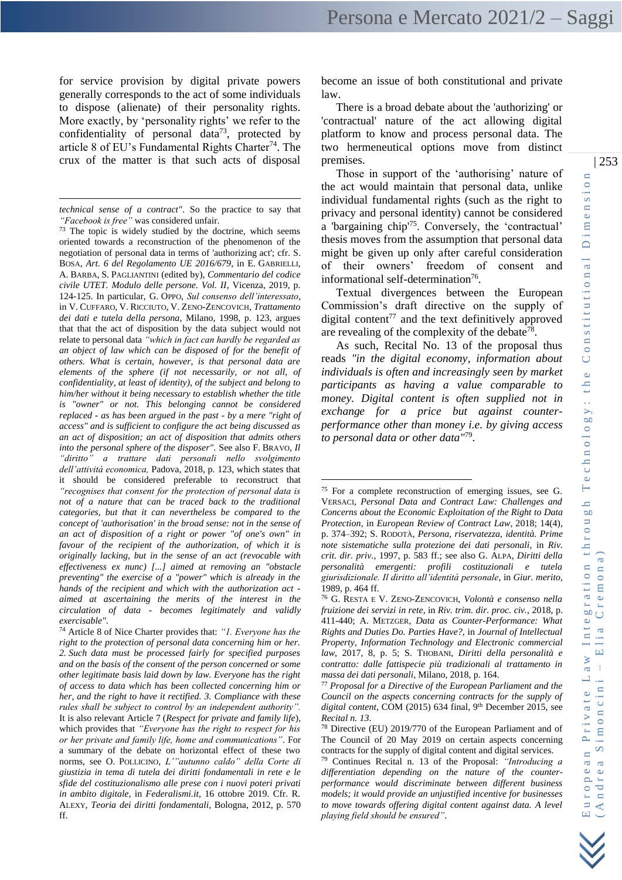for service provision by digital private powers generally corresponds to the act of some individuals to dispose (alienate) of their personality rights. More exactly, by 'personality rights' we refer to the confidentiality of personal data<sup>73</sup>, protected by article 8 of EU's Fundamental Rights Charter<sup>74</sup>. The crux of the matter is that such acts of disposal

<sup>74</sup> Article 8 of Nice Charter provides that: *"1. Everyone has the right to the protection of personal data concerning him or her. 2. Such data must be processed fairly for specified purposes and on the basis of the consent of the person concerned or some other legitimate basis laid down by law. Everyone has the right of access to data which has been collected concerning him or her, and the right to have it rectified. 3. Compliance with these rules shall be subject to control by an independent authority".*  It is also relevant Article 7 (*Respect for private and family life*), which provides that *"Everyone has the right to respect for his or her private and family life, home and communications"*. For a summary of the debate on horizontal effect of these two norms, see O. POLLICINO, *L'"autunno caldo" della Corte di giustizia in tema di tutela dei diritti fondamentali in rete e le sfide del costituzionalismo alle prese con i nuovi poteri privati in ambito digitale*, in *Federalismi.it*, 16 ottobre 2019. Cfr. R. ALEXY, *Teoria dei diritti fondamentali,* Bologna, 2012, p. 570 ff.

become an issue of both constitutional and private law.

There is a broad debate about the 'authorizing' or 'contractual' nature of the act allowing digital platform to know and process personal data. The two hermeneutical options move from distinct premises.

Those in support of the 'authorising' nature of the act would maintain that personal data, unlike individual fundamental rights (such as the right to privacy and personal identity) cannot be considered a 'bargaining chip'<sup>75</sup>. Conversely, the 'contractual' thesis moves from the assumption that personal data might be given up only after careful consideration of their owners' freedom of consent and informational self-determination<sup>76</sup>.

Textual divergences between the European Commission's draft directive on the supply of digital content<sup>77</sup> and the text definitively approved are revealing of the complexity of the debate<sup>78</sup>.

As such, Recital No. 13 of the proposal thus reads *"in the digital economy, information about individuals is often and increasingly seen by market participants as having a value comparable to money. Digital content is often supplied not in exchange for a price but against counterperformance other than money i.e. by giving access to personal data or other data"*<sup>79</sup> .

*technical sense of a contract"*. So the practice to say that *"Facebook is free"* was considered unfair.

<sup>&</sup>lt;sup>73</sup> The topic is widely studied by the doctrine, which seems oriented towards a reconstruction of the phenomenon of the negotiation of personal data in terms of 'authorizing act'; cfr. S. BOSA, *Art. 6 del Regolamento UE 2016/679*, in E. GABRIELLI, A. BARBA, S. PAGLIANTINI (edited by), *Commentario del codice civile UTET. Modulo delle persone. Vol. II*, Vicenza, 2019, p. 124-125. In particular, G. OPPO, *Sul consenso dell'interessato*, in V. CUFFARO, V. RICCIUTO, V. ZENO-ZENCOVICH, *Trattamento dei dati e tutela della persona*, Milano, 1998, p. 123, argues that that the act of disposition by the data subject would not relate to personal data *"which in fact can hardly be regarded as an object of law which can be disposed of for the benefit of others. What is certain, however, is that personal data are elements of the sphere (if not necessarily, or not all, of confidentiality, at least of identity), of the subject and belong to him/her without it being necessary to establish whether the title is "owner" or not. This belonging cannot be considered replaced - as has been argued in the past - by a mere "right of access" and is sufficient to configure the act being discussed as an act of disposition; an act of disposition that admits others into the personal sphere of the disposer"*. See also F. BRAVO, *Il "diritto" a trattare dati personali nello svolgimento dell'attività economica,* Padova, 2018, p. 123, which states that it should be considered preferable to reconstruct that *"recognises that consent for the protection of personal data is not of a nature that can be traced back to the traditional categories, but that it can nevertheless be compared to the concept of 'authorisation' in the broad sense: not in the sense of an act of disposition of a right or power "of one's own" in favour of the recipient of the authorization, of which it is originally lacking, but in the sense of an act (revocable with effectiveness ex nunc) [...] aimed at removing an "obstacle preventing" the exercise of a "power" which is already in the hands of the recipient and which with the authorization act aimed at ascertaining the merits of the interest in the circulation of data - becomes legitimately and validly exercisable"*.

<sup>75</sup> For a complete reconstruction of emerging issues, see G. VERSACI, *Personal Data and Contract Law: Challenges and Concerns about the Economic Exploitation of the Right to Data Protection*, in *European Review of Contract Law*, 2018; 14(4), p. 374–392; S. RODOTÀ, *Persona, riservatezza, identità. Prime note sistematiche sulla protezione dei dati personali*, in *Riv. crit. dir. priv.*, 1997, p. 583 ff.; see also G. ALPA, *Diritti della personalità emergenti: profili costituzionali e tutela giurisdizionale. Il diritto all'identità personale*, in *Giur. merito*, 1989, p. 464 ff.

<sup>76</sup> G. RESTA E V. ZENO-ZENCOVICH, *Volontà e consenso nella fruizione dei servizi in rete*, in *Riv. trim. dir. proc. civ.*, 2018, p. 411-440; A. METZGER, *Data as Counter-Performance: What Rights and Duties Do. Parties Have?,* in *Journal of Intellectual Property, Information Technology and Electronic commercial law*, 2017, 8, p. 5; S. THOBANI, *Diritti della personalità e contratto: dalle fattispecie più tradizionali al trattamento in massa dei dati personali*, Milano, 2018, p. 164.

<sup>77</sup> *Proposal for a Directive of the European Parliament and the Council on the aspects concerning contracts for the supply of*  digital content, COM (2015) 634 final, 9<sup>th</sup> December 2015, see *Recital n. 13*.

<sup>78</sup> Directive (EU) 2019/770 of the European Parliament and of The Council of 20 May 2019 on certain aspects concerning contracts for the supply of digital content and digital services.

<sup>79</sup> Continues Recital n. 13 of the Proposal: *"Introducing a differentiation depending on the nature of the counterperformance would discriminate between different business models; it would provide an unjustified incentive for businesses to move towards offering digital content against data. A level playing field should be ensured"*.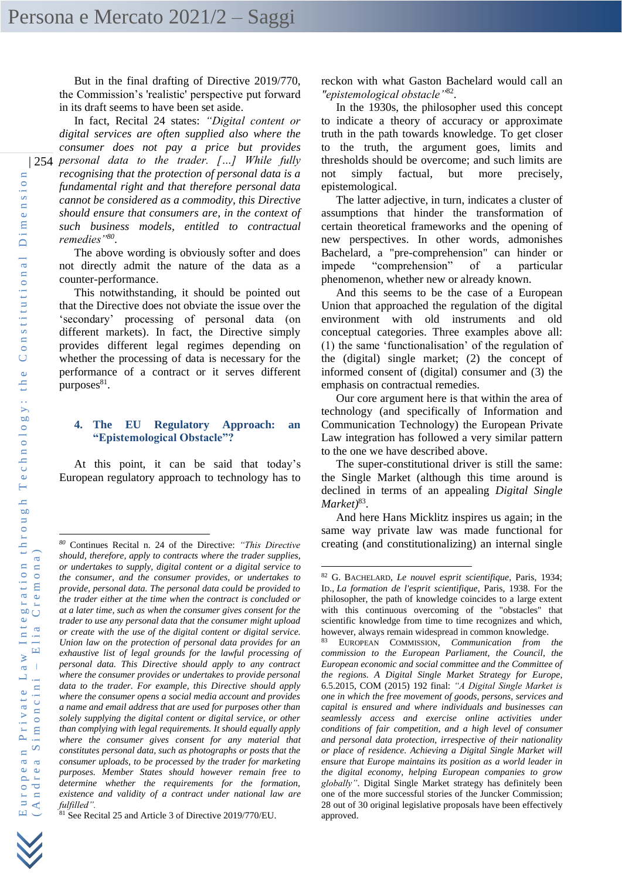But in the final drafting of Directive 2019/770, the Commission's 'realistic' perspective put forward in its draft seems to have been set aside.

| 254 *personal data to the trader. […] While fully*  In fact, Recital 24 states: *"Digital content or digital services are often supplied also where the consumer does not pay a price but provides recognising that the protection of personal data is a fundamental right and that therefore personal data cannot be considered as a commodity, this Directive should ensure that consumers are, in the context of such business models, entitled to contractual remedies"<sup>80</sup>* .

> The above wording is obviously softer and does not directly admit the nature of the data as a counter-performance.

> This notwithstanding, it should be pointed out that the Directive does not obviate the issue over the 'secondary' processing of personal data (on different markets). In fact, the Directive simply provides different legal regimes depending on whether the processing of data is necessary for the performance of a contract or it serves different purposes $81$ .

#### **4. The EU Regulatory Approach: an "Epistemological Obstacle"?**

At this point, it can be said that today's European regulatory approach to technology has to

reckon with what Gaston Bachelard would call an *"epistemological obstacle"*<sup>82</sup> .

In the 1930s, the philosopher used this concept to indicate a theory of accuracy or approximate truth in the path towards knowledge. To get closer to the truth, the argument goes, limits and thresholds should be overcome; and such limits are not simply factual, but more precisely, epistemological.

The latter adjective, in turn, indicates a cluster of assumptions that hinder the transformation of certain theoretical frameworks and the opening of new perspectives. In other words, admonishes Bachelard, a "pre-comprehension" can hinder or impede "comprehension" of a particular phenomenon, whether new or already known.

And this seems to be the case of a European Union that approached the regulation of the digital environment with old instruments and old conceptual categories. Three examples above all: (1) the same 'functionalisation' of the regulation of the (digital) single market; (2) the concept of informed consent of (digital) consumer and (3) the emphasis on contractual remedies.

Our core argument here is that within the area of technology (and specifically of Information and Communication Technology) the European Private Law integration has followed a very similar pattern to the one we have described above.

The super-constitutional driver is still the same: the Single Market (although this time around is declined in terms of an appealing *Digital Single Market)*<sup>83</sup> .

And here Hans Micklitz inspires us again; in the same way private law was made functional for creating (and constitutionalizing) an internal single



*<sup>80</sup>* Continues Recital n. 24 of the Directive: *"This Directive should, therefore, apply to contracts where the trader supplies, or undertakes to supply, digital content or a digital service to the consumer, and the consumer provides, or undertakes to provide, personal data. The personal data could be provided to the trader either at the time when the contract is concluded or at a later time, such as when the consumer gives consent for the trader to use any personal data that the consumer might upload or create with the use of the digital content or digital service. Union law on the protection of personal data provides for an exhaustive list of legal grounds for the lawful processing of personal data. This Directive should apply to any contract where the consumer provides or undertakes to provide personal data to the trader. For example, this Directive should apply where the consumer opens a social media account and provides a name and email address that are used for purposes other than solely supplying the digital content or digital service, or other than complying with legal requirements. It should equally apply where the consumer gives consent for any material that constitutes personal data, such as photographs or posts that the consumer uploads, to be processed by the trader for marketing purposes. Member States should however remain free to determine whether the requirements for the formation, existence and validity of a contract under national law are fulfilled".*

<sup>81</sup> See Recital 25 and Article 3 of Directive 2019/770/EU.

<sup>82</sup> G. BACHELARD, *Le nouvel esprit scientifique*, Paris, 1934; ID., *La formation de l'esprit scientifique*, Paris, 1938. For the philosopher, the path of knowledge coincides to a large extent with this continuous overcoming of the "obstacles" that scientific knowledge from time to time recognizes and which, however, always remain widespread in common knowledge.

<sup>83</sup> EUROPEAN COMMISSION, *Communication from the commission to the European Parliament, the Council, the European economic and social committee and the Committee of the regions. A Digital Single Market Strategy for Europe*, 6.5.2015, COM (2015) 192 final: *"A Digital Single Market is one in which the free movement of goods, persons, services and capital is ensured and where individuals and businesses can seamlessly access and exercise online activities under conditions of fair competition, and a high level of consumer and personal data protection, irrespective of their nationality or place of residence. Achieving a Digital Single Market will ensure that Europe maintains its position as a world leader in the digital economy, helping European companies to grow globally"*. Digital Single Market strategy has definitely been one of the more successful stories of the Juncker Commission; 28 out of 30 original legislative proposals have been effectively approved.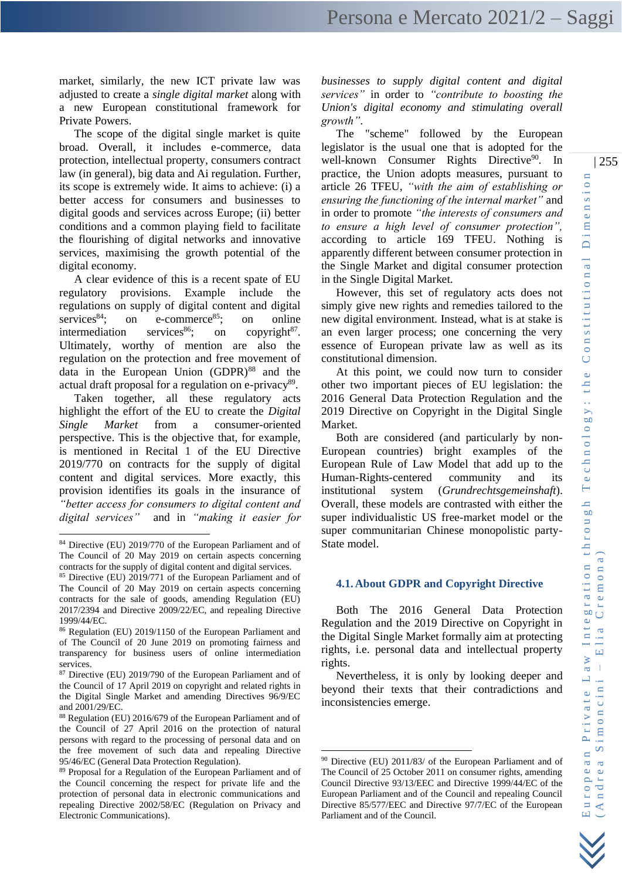market, similarly, the new ICT private law was adjusted to create a *single digital market* along with a new European constitutional framework for Private Powers.

The scope of the digital single market is quite broad. Overall, it includes e-commerce, data protection, intellectual property, consumers contract law (in general), big data and Ai regulation. Further, its scope is extremely wide. It aims to achieve: (i) a better access for consumers and businesses to digital goods and services across Europe; (ii) better conditions and a common playing field to facilitate the flourishing of digital networks and innovative services, maximising the growth potential of the digital economy.

A clear evidence of this is a recent spate of EU regulatory provisions. Example include the regulations on supply of digital content and digital services<sup>84</sup>; on e-commerce<sup>85</sup>; on online intermediation services<sup>86</sup>; on copyright<sup>87</sup>. Ultimately, worthy of mention are also the regulation on the protection and free movement of data in the European Union  $(GDPR)^{88}$  and the actual draft proposal for a regulation on e-privacy<sup>89</sup>.

Taken together, all these regulatory acts highlight the effort of the EU to create the *Digital Single Market* from a consumer-oriented perspective. This is the objective that, for example, is mentioned in Recital 1 of the EU Directive 2019/770 on contracts for the supply of digital content and digital services. More exactly, this provision identifies its goals in the insurance of *"better access for consumers to digital content and digital services"* and in *"making it easier for* 

*businesses to supply digital content and digital services"* in order to *"contribute to boosting the Union's digital economy and stimulating overall growth"*.

The "scheme" followed by the European legislator is the usual one that is adopted for the well-known Consumer Rights Directive<sup>90</sup>. In practice, the Union adopts measures, pursuant to article 26 TFEU, *"with the aim of establishing or ensuring the functioning of the internal market"* and in order to promote *"the interests of consumers and to ensure a high level of consumer protection",*  according to article 169 TFEU. Nothing is apparently different between consumer protection in the Single Market and digital consumer protection in the Single Digital Market.

However, this set of regulatory acts does not simply give new rights and remedies tailored to the new digital environment. Instead, what is at stake is an even larger process; one concerning the very essence of European private law as well as its constitutional dimension.

At this point, we could now turn to consider other two important pieces of EU legislation: the 2016 General Data Protection Regulation and the 2019 Directive on Copyright in the Digital Single Market.

Both are considered (and particularly by non-European countries) bright examples of the European Rule of Law Model that add up to the Human-Rights-centered community and its institutional system (*Grundrechtsgemeinshaft*). Overall, these models are contrasted with either the super individualistic US free-market model or the super communitarian Chinese monopolistic party-State model.

# **4.1.About GDPR and Copyright Directive**

Both The 2016 General Data Protection Regulation and the 2019 Directive on Copyright in the Digital Single Market formally aim at protecting rights, i.e. personal data and intellectual property rights.

Nevertheless, it is only by looking deeper and beyond their texts that their contradictions and inconsistencies emerge.

<sup>84</sup> Directive (EU) 2019/770 of the European Parliament and of The Council of 20 May 2019 on certain aspects concerning contracts for the supply of digital content and digital services.

<sup>85</sup> Directive (EU) 2019/771 of the European Parliament and of The Council of 20 May 2019 on certain aspects concerning contracts for the sale of goods, amending Regulation (EU) 2017/2394 and Directive 2009/22/EC, and repealing Directive 1999/44/EC.

<sup>86</sup> Regulation (EU) 2019/1150 of the European Parliament and of The Council of 20 June 2019 on promoting fairness and transparency for business users of online intermediation services.

<sup>87</sup> Directive (EU) 2019/790 of the European Parliament and of the Council of 17 April 2019 on copyright and related rights in the Digital Single Market and amending Directives 96/9/EC and 2001/29/EC.

<sup>88</sup> Regulation (EU) 2016/679 of the European Parliament and of the Council of 27 April 2016 on the protection of natural persons with regard to the processing of personal data and on the free movement of such data and repealing Directive 95/46/EC (General Data Protection Regulation).

<sup>89</sup> Proposal for a Regulation of the European Parliament and of the Council concerning the respect for private life and the protection of personal data in electronic communications and repealing Directive 2002/58/EC (Regulation on Privacy and Electronic Communications).

<sup>90</sup> Directive (EU) 2011/83/ of the European Parliament and of The Council of 25 October 2011 on consumer rights, amending Council Directive 93/13/EEC and Directive 1999/44/EC of the European Parliament and of the Council and repealing Council Directive 85/577/EEC and Directive 97/7/EC of the European Parliament and of the Council.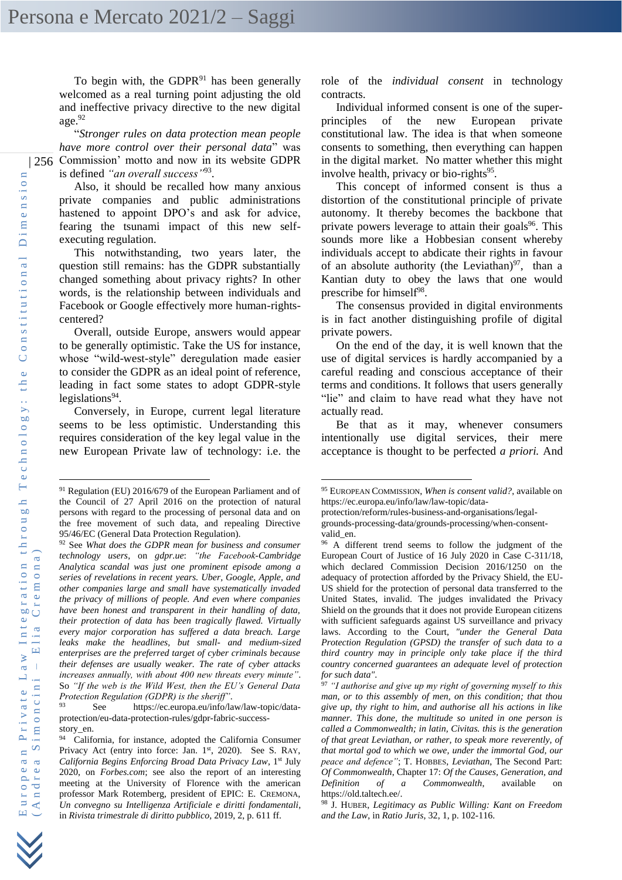To begin with, the GDPR $91$  has been generally welcomed as a real turning point adjusting the old and ineffective privacy directive to the new digital age.<sup>92</sup>

| 256 Commission' motto and now in its website GDPR "*Stronger rules on data protection mean people have more control over their personal data*" was is defined *"an overall success"*<sup>93</sup> .

> Also, it should be recalled how many anxious private companies and public administrations hastened to appoint DPO's and ask for advice, fearing the tsunami impact of this new selfexecuting regulation.

> This notwithstanding, two years later, the question still remains: has the GDPR substantially changed something about privacy rights? In other words, is the relationship between individuals and Facebook or Google effectively more human-rightscentered?

> Overall, outside Europe, answers would appear to be generally optimistic. Take the US for instance, whose "wild-west-style" deregulation made easier to consider the GDPR as an ideal point of reference, leading in fact some states to adopt GDPR-style legislations<sup>94</sup>.

> Conversely, in Europe, current legal literature seems to be less optimistic. Understanding this requires consideration of the key legal value in the new European Private law of technology: i.e. the

role of the *individual consent* in technology contracts.

Individual informed consent is one of the superprinciples of the new European private constitutional law. The idea is that when someone consents to something, then everything can happen in the digital market. No matter whether this might involve health, privacy or bio-rights<sup>95</sup>.

This concept of informed consent is thus a distortion of the constitutional principle of private autonomy. It thereby becomes the backbone that private powers leverage to attain their goals<sup>96</sup>. This sounds more like a Hobbesian consent whereby individuals accept to abdicate their rights in favour of an absolute authority (the Leviathan) $97$ , than a Kantian duty to obey the laws that one would prescribe for himself<sup>98</sup>.

The consensus provided in digital environments is in fact another distinguishing profile of digital private powers.

On the end of the day, it is well known that the use of digital services is hardly accompanied by a careful reading and conscious acceptance of their terms and conditions. It follows that users generally "lie" and claim to have read what they have not actually read.

Be that as it may, whenever consumers intentionally use digital services, their mere acceptance is thought to be perfected *a priori.* And

<sup>91</sup> Regulation (EU) 2016/679 of the European Parliament and of the Council of 27 April 2016 on the protection of natural persons with regard to the processing of personal data and on the free movement of such data, and repealing Directive 95/46/EC (General Data Protection Regulation).

<sup>92</sup> See *What does the GDPR mean for business and consumer technology users*, on *gdpr.ue*: *"the Facebook-Cambridge Analytica scandal was just one prominent episode among a series of revelations in recent years. Uber, Google, Apple, and other companies large and small have systematically invaded the privacy of millions of people. And even where companies have been honest and transparent in their handling of data, their protection of data has been tragically flawed. Virtually every major corporation has suffered a data breach. Large leaks make the headlines, but small- and medium-sized enterprises are the preferred target of cyber criminals because their defenses are usually weaker. The rate of cyber attacks increases annually, with about 400 new threats every minute"*. So *"If the web is the Wild West, then the EU's General Data Protection Regulation (GDPR) is the sheriff"*.

See https://ec.europa.eu/info/law/law-topic/dataprotection/eu-data-protection-rules/gdpr-fabric-successstory\_en.

<sup>&</sup>lt;sup>94</sup> California, for instance, adopted the California Consumer Privacy Act (entry into force: Jan. 1<sup>st</sup>, 2020). See S. RAY, *California Begins Enforcing Broad Data Privacy Law*, 1st July 2020, on *Forbes.com*; see also the report of an interesting meeting at the University of Florence with the american professor Mark Rotemberg, president of EPIC: E. CREMONA, *Un convegno su Intelligenza Artificiale e diritti fondamentali*, in *Rivista trimestrale di diritto pubblico*, 2019, 2, p. 611 ff.

<sup>95</sup> EUROPEAN COMMISSION, *When is consent valid?*, available on [https://ec.europa.eu/info/law/law-topic/data-](https://ec.europa.eu/info/law/law-topic/data-protection/reform/rules-business-and-organisations/legal-grounds-processing-data/grounds-processing/when-consent-valid_en)

[protection/reform/rules-business-and-organisations/legal-](https://ec.europa.eu/info/law/law-topic/data-protection/reform/rules-business-and-organisations/legal-grounds-processing-data/grounds-processing/when-consent-valid_en)

[grounds-processing-data/grounds-processing/when-consent](https://ec.europa.eu/info/law/law-topic/data-protection/reform/rules-business-and-organisations/legal-grounds-processing-data/grounds-processing/when-consent-valid_en)[valid\\_en.](https://ec.europa.eu/info/law/law-topic/data-protection/reform/rules-business-and-organisations/legal-grounds-processing-data/grounds-processing/when-consent-valid_en) 

<sup>&</sup>lt;sup>96</sup> A different trend seems to follow the judgment of the European Court of Justice of 16 July 2020 in Case C-311/18, which declared Commission Decision 2016/1250 on the adequacy of protection afforded by the Privacy Shield, the EU-US shield for the protection of personal data transferred to the United States, invalid. The judges invalidated the Privacy Shield on the grounds that it does not provide European citizens with sufficient safeguards against US surveillance and privacy laws. According to the Court, *"under the General Data Protection Regulation (GPSD) the transfer of such data to a third country may in principle only take place if the third country concerned guarantees an adequate level of protection for such data"*.

<sup>97</sup> *"I authorise and give up my right of governing myself to this man, or to this assembly of men, on this condition; that thou give up, thy right to him, and authorise all his actions in like manner. This done, the multitude so united in one person is called a Commonwealth; in latin, Civitas. this is the generation of that great Leviathan, or rather, to speak more reverently, of that mortal god to which we owe, under the immortal God, our peace and defence"*; T. HOBBES, *Leviathan*, The Second Part: *Of Commonwealth*, Chapter 17: *Of the Causes, Generation, and Definition of a Commonwealth*, available https://old.taltech.ee/.

<sup>98</sup> J. HUBER, *Legitimacy as Public Willing: Kant on Freedom and the Law*, in *Ratio Juris*, 32, 1, p. 102-116.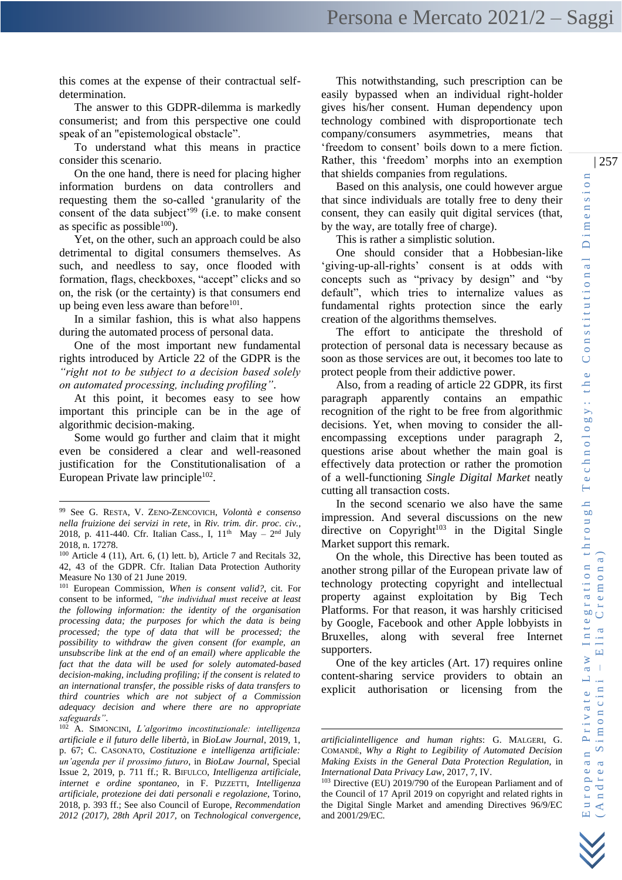The answer to this GDPR-dilemma is markedly consumerist; and from this perspective one could speak of an "epistemological obstacle".

To understand what this means in practice consider this scenario.

On the one hand, there is need for placing higher information burdens on data controllers and requesting them the so-called 'granularity of the consent of the data subject'<sup>99</sup> (i.e. to make consent as specific as possible $100$ .

Yet, on the other, such an approach could be also detrimental to digital consumers themselves. As such, and needless to say, once flooded with formation, flags, checkboxes, "accept" clicks and so on, the risk (or the certainty) is that consumers end up being even less aware than before $101$ .

In a similar fashion, this is what also happens during the automated process of personal data.

One of the most important new fundamental rights introduced by Article 22 of the GDPR is the *"right not to be subject to a decision based solely on automated processing, including profiling"*.

At this point, it becomes easy to see how important this principle can be in the age of algorithmic decision-making.

Some would go further and claim that it might even be considered a clear and well-reasoned justification for the Constitutionalisation of a European Private law principle $102$ .

This notwithstanding, such prescription can be easily bypassed when an individual right-holder gives his/her consent. Human dependency upon technology combined with disproportionate tech company/consumers asymmetries, means that 'freedom to consent' boils down to a mere fiction. Rather, this 'freedom' morphs into an exemption that shields companies from regulations.

Based on this analysis, one could however argue that since individuals are totally free to deny their consent, they can easily quit digital services (that, by the way, are totally free of charge).

This is rather a simplistic solution.

One should consider that a Hobbesian-like 'giving-up-all-rights' consent is at odds with concepts such as "privacy by design" and "by default", which tries to internalize values as fundamental rights protection since the early creation of the algorithms themselves.

The effort to anticipate the threshold of protection of personal data is necessary because as soon as those services are out, it becomes too late to protect people from their addictive power.

Also, from a reading of article 22 GDPR, its first paragraph apparently contains an empathic recognition of the right to be free from algorithmic decisions. Yet, when moving to consider the allencompassing exceptions under paragraph 2, questions arise about whether the main goal is effectively data protection or rather the promotion of a well-functioning *Single Digital Market* neatly cutting all transaction costs.

In the second scenario we also have the same impression. And several discussions on the new directive on Copyright<sup>103</sup> in the Digital Single Market support this remark.

On the whole, this Directive has been touted as another strong pillar of the European private law of technology protecting copyright and intellectual property against exploitation by Big Tech Platforms. For that reason, it was harshly criticised by Google, Facebook and other Apple lobbyists in Bruxelles, along with several free Internet supporters.

One of the key articles (Art. 17) requires online content-sharing service providers to obtain an explicit authorisation or licensing from the

<sup>99</sup> See G. RESTA, V. ZENO-ZENCOVICH, *Volontà e consenso nella fruizione dei servizi in rete*, in *Riv. trim. dir. proc. civ.*, 2018, p. 411-440. Cfr. Italian Cass., I,  $11<sup>th</sup>$  May -  $2<sup>nd</sup>$  July 2018, n. 17278.

 $100$  Article 4 (11), Art. 6, (1) lett. b), Article 7 and Recitals 32, 42, 43 of the GDPR. Cfr. Italian Data Protection Authority Measure No 130 of 21 June 2019.

<sup>101</sup> European Commission, *When is consent valid?*, cit. For consent to be informed, *"the individual must receive at least the following information: the identity of the organisation processing data; the purposes for which the data is being processed; the type of data that will be processed; the possibility to withdraw the given consent (for example, an unsubscribe link at the end of an email) where applicable the fact that the data will be used for solely automated-based decision-making, including profiling; if the consent is related to an international transfer, the possible risks of data transfers to third countries which are not subject of a Commission adequacy decision and where there are no appropriate safeguards"*.

<sup>102</sup> A. SIMONCINI, *L'algoritmo incostituzionale: intelligenza artificiale e il futuro delle libertà*, in *BioLaw Journal*, 2019, 1, p. 67; C. CASONATO, *Costituzione e intelligenza artificiale: un'agenda per il prossimo futuro*, in *BioLaw Journal*, Special Issue 2, 2019, p. 711 ff.; R. BIFULCO, *Intelligenza artificiale, internet e ordine spontaneo*, in F. PIZZETTI, *Intelligenza artificiale, protezione dei dati personali e regolazione*, Torino, 2018, p. 393 ff.; See also Council of Europe, *Recommendation 2012 (2017), 28th April 2017,* on *Technological convergence,* 

*artificialintelligence and human rights*: G. MALGERI, G. COMANDÈ, *Why a Right to Legibility of Automated Decision Making Exists in the General Data Protection Regulation,* in *International Data Privacy Law*, 2017, 7, IV.

<sup>103</sup> Directive (EU) 2019/790 of the European Parliament and of the Council of 17 April 2019 on copyright and related rights in the Digital Single Market and amending Directives 96/9/EC and 2001/29/EC.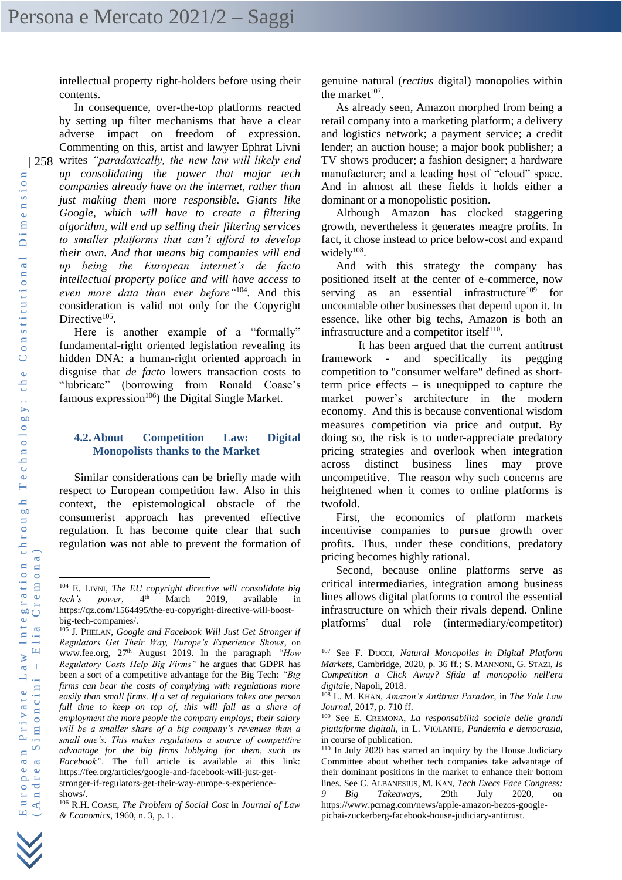intellectual property right-holders before using their contents.

| 258 writes *"paradoxically, the new law will likely end*  In consequence, over-the-top platforms reacted by setting up filter mechanisms that have a clear adverse impact on freedom of expression. Commenting on this, artist and lawyer Ephrat Livni *up consolidating the power that major tech companies already have on the internet, rather than just making them more responsible. Giants like Google, which will have to create a filtering algorithm, will end up selling their filtering services to smaller platforms that can't afford to develop their own. And that means big companies will end up being the European internet's de facto intellectual property police and will have access to even more data than ever before"*<sup>104</sup>. And this consideration is valid not only for the Copyright Directive<sup>105</sup>.

> Here is another example of a "formally" fundamental-right oriented legislation revealing its hidden DNA: a human-right oriented approach in disguise that *de facto* lowers transaction costs to "lubricate" (borrowing from Ronald Coase's famous expression $106$ ) the Digital Single Market.

### **4.2.About Competition Law: Digital Monopolists thanks to the Market**

Similar considerations can be briefly made with respect to European competition law. Also in this context, the epistemological obstacle of the consumerist approach has prevented effective regulation. It has become quite clear that such regulation was not able to prevent the formation of genuine natural (*rectius* digital) monopolies within the market $107$ .

As already seen, Amazon morphed from being a retail company into a marketing platform; a delivery and logistics network; a payment service; a credit lender; an auction house; a major book publisher; a TV shows producer; a fashion designer; a hardware manufacturer; and a leading host of "cloud" space. And in almost all these fields it holds either a dominant or a monopolistic position.

Although Amazon has clocked staggering growth, nevertheless it generates meagre profits. In fact, it chose instead to price below-cost and expand widely $108$ .

And with this strategy the company has positioned itself at the center of e-commerce, now serving as an essential infrastructure<sup>109</sup> for uncountable other businesses that depend upon it. In essence, like other big techs, Amazon is both an infrastructure and a competitor itself $110$ .

It has been argued that the current antitrust framework - and specifically its pegging competition to "consumer welfare" defined as shortterm price effects – is unequipped to capture the market power's architecture in the modern economy. And this is because conventional wisdom measures competition via price and output. By doing so, the risk is to under-appreciate predatory pricing strategies and overlook when integration across distinct business lines may prove uncompetitive. The reason why such concerns are heightened when it comes to online platforms is twofold.

First, the economics of platform markets incentivise companies to pursue growth over profits. Thus, under these conditions, predatory pricing becomes highly rational.

Second, because online platforms serve as critical intermediaries, integration among business lines allows digital platforms to control the essential infrastructure on which their rivals depend. Online platforms' dual role (intermediary/competitor)

<sup>104</sup> E. LIVNI, *The EU copyright directive will consolidate big tech's power*, 4<sup>th</sup> March 2019, available in https://qz.com/1564495/the-eu-copyright-directive-will-boostbig-tech-companies/.

<sup>105</sup> J. PHELAN, *Google and Facebook Will Just Get Stronger if Regulators Get Their Way, Europe's Experience Shows*, on [www.fee.org,](http://www.fee.org/) 27th August 2019. In the paragraph *"How Regulatory Costs Help Big Firms"* he argues that GDPR has been a sort of a competitive advantage for the Big Tech: *"Big firms can bear the costs of complying with regulations more easily than small firms. If a set of regulations takes one person full time to keep on top of, this will fall as a share of employment the more people the company employs; their salary will be a smaller share of a big company's revenues than a small one's. This makes regulations a source of competitive advantage for the big firms lobbying for them, such as Facebook"*. The full article is available ai this link: [https://fee.org/articles/google-and-facebook-will-just-get](https://fee.org/articles/google-and-facebook-will-just-get-stronger-if-regulators-get-their-way-europe-s-experience-shows/)[stronger-if-regulators-get-their-way-europe-s-experience](https://fee.org/articles/google-and-facebook-will-just-get-stronger-if-regulators-get-their-way-europe-s-experience-shows/)[shows/.](https://fee.org/articles/google-and-facebook-will-just-get-stronger-if-regulators-get-their-way-europe-s-experience-shows/)

<sup>106</sup> R.H. COASE, *The Problem of Social Cost* in *Journal of Law & Economics*, 1960, n. 3, p. 1.

<sup>107</sup> See F. DUCCI, *Natural Monopolies in Digital Platform Markets,* Cambridge, 2020, p. 36 ff.; S. MANNONI, G. STAZI, *Is Competition a Click Away? Sfida al monopolio nell'era digitale*, Napoli, 2018.

<sup>108</sup> L. M. KHAN, *Amazon's Antitrust Paradox*, in *The Yale Law Journal*, 2017, p. 710 ff.

<sup>109</sup> See E. CREMONA, *La responsabilità sociale delle grandi piattaforme digitali*, in L. VIOLANTE, *Pandemia e democrazia*, in course of publication.

<sup>110</sup> In July 2020 has started an inquiry by the House Judiciary Committee about whether tech companies take advantage of their dominant positions in the market to enhance their bottom lines. See C. A[LBANESIUS](https://www.pcmag.com/authors/chloe-albanesius), [M.](https://www.pcmag.com/authors/michael-kan) KAN, *Tech Execs Face Congress: 9 Big Takeaways*, 29th July 2020, on https://www.pcmag.com/news/apple-amazon-bezos-googlepichai-zuckerberg-facebook-house-judiciary-antitrust.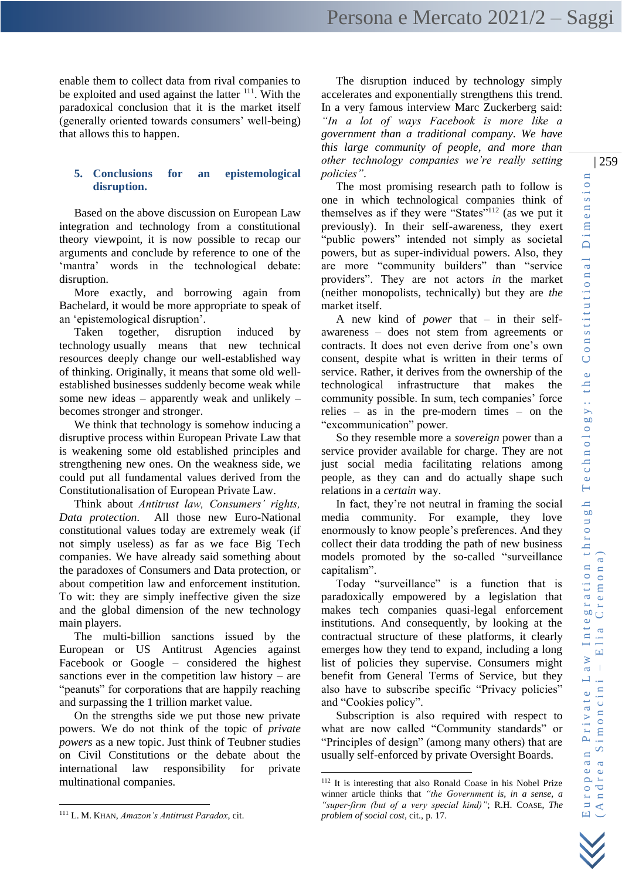enable them to collect data from rival companies to be exploited and used against the latter  $111$ . With the paradoxical conclusion that it is the market itself (generally oriented towards consumers' well-being) that allows this to happen.

# **5. Conclusions for an epistemological disruption.**

Based on the above discussion on European Law integration and technology from a constitutional theory viewpoint, it is now possible to recap our arguments and conclude by reference to one of the 'mantra' words in the technological debate: disruption.

More exactly, and borrowing again from Bachelard, it would be more appropriate to speak of an 'epistemological disruption'.

Taken together, disruption induced by technology usually means that new technical resources deeply change our well-established way of thinking. Originally, it means that some old wellestablished businesses suddenly become weak while some new ideas – apparently weak and unlikely – becomes stronger and stronger.

We think that technology is somehow inducing a disruptive process within European Private Law that is weakening some old established principles and strengthening new ones. On the weakness side, we could put all fundamental values derived from the Constitutionalisation of European Private Law.

Think about *Antitrust law, Consumers' rights, Data protection*. All those new Euro-National constitutional values today are extremely weak (if not simply useless) as far as we face Big Tech companies. We have already said something about the paradoxes of Consumers and Data protection, or about competition law and enforcement institution. To wit: they are simply ineffective given the size and the global dimension of the new technology main players.

The multi-billion sanctions issued by the European or US Antitrust Agencies against Facebook or Google – considered the highest sanctions ever in the competition law history – are "peanuts" for corporations that are happily reaching and surpassing the 1 trillion market value.

On the strengths side we put those new private powers. We do not think of the topic of *private powers* as a new topic. Just think of Teubner studies on Civil Constitutions or the debate about the international law responsibility for private multinational companies.

<sup>111</sup> L. M. KHAN, *Amazon's Antitrust Paradox*, cit.

The disruption induced by technology simply accelerates and exponentially strengthens this trend. In a very famous interview Marc Zuckerberg said: *"In a lot of ways Facebook is more like a government than a traditional company. We have this large community of people, and more than other technology companies we're really setting policies"*.

The most promising research path to follow is one in which technological companies think of themselves as if they were "States"<sup>112</sup> (as we put it previously). In their self-awareness, they exert "public powers" intended not simply as societal powers, but as super-individual powers. Also, they are more "community builders" than "service providers". They are not actors *in* the market (neither monopolists, technically) but they are *the* market itself.

A new kind of *power* that – in their selfawareness – does not stem from agreements or contracts. It does not even derive from one's own consent, despite what is written in their terms of service. Rather, it derives from the ownership of the technological infrastructure that makes the community possible. In sum, tech companies' force relies – as in the pre-modern times – on the "excommunication" power.

So they resemble more a *sovereign* power than a service provider available for charge. They are not just social media facilitating relations among people, as they can and do actually shape such relations in a *certain* way.

In fact, they're not neutral in framing the social media community. For example, they love enormously to know people's preferences. And they collect their data trodding the path of new business models promoted by the so-called "surveillance capitalism".

Today "surveillance" is a function that is paradoxically empowered by a legislation that makes tech companies quasi-legal enforcement institutions. And consequently, by looking at the contractual structure of these platforms, it clearly emerges how they tend to expand, including a long list of policies they supervise. Consumers might benefit from General Terms of Service, but they also have to subscribe specific "Privacy policies" and "Cookies policy".

Subscription is also required with respect to what are now called "Community standards" or "Principles of design" (among many others) that are usually self-enforced by private Oversight Boards.

<sup>112</sup> It is interesting that also Ronald Coase in his Nobel Prize winner article thinks that *"the Government is, in a sense, a "super-firm (but of a very special kind)"*; R.H. COASE, *The problem of social cost*, cit., p. 17.